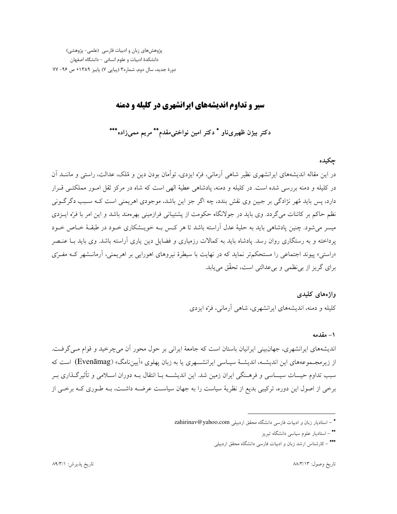پژوهشهای زبان و ادبیات فارسی (علمی- پژوهشی) دانشکدهٔ ادبیات و علوم انسانی - دانشگاه اصفهان دورهٔ جدید، سال دوم، شماره۳ (پیاپی ۷) پاییز ۱۳۸۹ ک ص ۹۶- ۷۷

## سیر و تداوم اندیشههای ایرانشهری در کلیله و دمنه

دکتر بیژن ظهیریناو \* دکتر امین نواختی مقدم\*\* مریم ممیزاده\*\*\*

## چکیده

در این مقاله اندیشههای ایرانشهری نظیر شاهی آرمانی، فرّه ایزدی، توأمان بودن دین و مُلک، عدالت، راستی و ماننــد آن در کلیله و دمنه بررسی شده است. در کلیله و دمنه، یادشاهی عطیهٔ الهی است که شاه در مرکز ثقل امـور مملکتـی قـرار دارد، پس باید مُهر نژادگی بر جبین وی نقش بندد، چه اگر جز این باشد، موجودی اهریمنی است کـه سـبب دگرگــونی نظم حاکم بر کائنات میگردد. وی باید در جولانگاه حکومت از پشتیبانی فرازمینی بهرهمند باشد و این امر با فرّه ایــزدی میسر می شود. چنین یادشاهی باید به حلیهٔ عدل آراسته باشد تا هر کس بـه خویــشکاری خـود در طبقـهٔ خـاص خـود پرداخته و به رستگاری روان رسد. یادشاه باید به کمالات رزمیاری و فضایل دین یاری آراسته باشد. وی باید بـا عنـصر «راستی» پیوند اجتماعی را مستحکمتر نماید که در نهایت با سیطرهٔ نیروهای اهورایی بر اهریمنی، آرمانـشهر کـه مفـرّی براي گريز از ٻي نظمي و ٻي عدالتي است، تحقّق مي ڀابد.

# واژەهاي كليدى کلیله و دمنه، اندیشههای ایرانشهری، شاهی آرمانی، فرّه ایزدی

#### ١ – مقدمه

اندیشههای ایرانشهری، جهان بینی ایرانیان باستان است که جامعهٔ ایرانی بر حول محور آن می چرخید و قوام مبی گرفت. از زیر مجـموعههای این اندیشـه، اندیشـهٔ سیـاسی ایرانشـــهری یا به زبان یهلوی «اَپینِ نامگ» (Evenāmag) است که سبب تداوم حیـــات سیـــاسی و فرهــنگی ایران زمین شد. این اندیشــــه بــا انتقال بــه دوران اســلامی و تأثیرگــذاری بــر برخی از اصول این دوره، ترکیبی بدیع از نظریهٔ سیاست را به جهان سیاسـت عرضـه داشـت، بــه طــوری کــه برخــی از

<sup>\* –</sup> استادیار زبان و ادبیات فارسی دانشگاه محقق اردبیلی zahirinav@yahoo.com

<sup>\*\* –</sup> استادیار علوم سیاسی دانشگاه تبریز

<sup>\*\*\* –</sup> کارشناس ارشد زبان و ادبیات فارسی دانشگاه محقق اردبیلی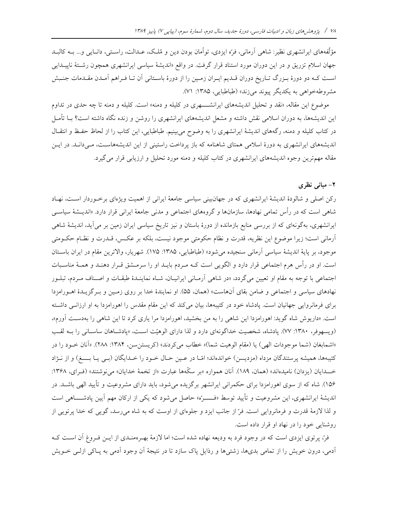مؤلِّفههای ایرانشهری نظیر: شاهی اَرمانی، فرَّه ایزدی، توأمان بودن دین و مُلـک، عــدالت، راسـتی، دانــایی و… بــه کالبــد جهان اسلام تزریق و در این دوران مورد استناد قرار گرفت. در واقع «اندیشهٔ سیاسی ایرانشهری همچون رشتهٔ ناییــدایی اسـت كـه دو دورهٔ بـزرگ تـاريخ دوران قـديم ايـران زمـين را از دورهٔ باسـتاني اَن تـا فـراهم اَمـدن مقـدمات جنـبش مشروطهخواهی به یکدیگر پیوند میزند» (طباطبایی، ۱۳۸۵: ۷۱).

موضوع این مقاله، «نقد و تحلیل اندیشههای ایرانشههری در کلیله و دمنه» است. کلیله و دمنه تا چه حدی در تداوم این اندیشهها، به دوران اسلامی نقش داشته و مشعل اندیشههای ایرانشهری را روشن و زنده نگاه داشته است؟ بــا تأمــل در کتاب کلیله و دمنه، رگههای اندیشهٔ ایرانشهری را به وضوح میبینیم. طباطبایی، این کتاب را از لحاظ حفظ و انتقـال اندیشههای ایرانشهری به دورهٔ اسلامی همتای شاهنامه که باز پرداخت راستینی از این اندیشههاست، میدانـد. در ایـن مقاله مهم ترین وجوه اندیشههای ایرانشهری در کتاب کلیله و دمنه مورد تحلیل و ارزیابی قرار می گیرد.

## ۲- مبانی نظری

رکن اصلی و شالودهٔ اندیشهٔ ایرانشهری که در جهانبینی سیاسی جامعهٔ ایرانی از اهمیت ویژهای برخـوردار اسـت، نهـاد شاهی است که در رأس تمامی نهادها، سازمانها و گروههای اجتماعی و مدنی جامعهٔ ایرانی قرار دارد. «اندیــشهٔ سیاســی ایرانشهری، بهگونهای که از بررسی منابع بازمانده از دورهٔ باستان و نیز تاریخ سیاسی ایران زمین بر می آید، اندیشهٔ شاهی آرمانی است؛ زیرا موضوع این نظریه، قدرت و نظام حکومتی موجود نیست، بلکه بر عکس، قـدرت و نظـام حکــومتی موجود، بر پاية انديشة سياسي آرماني سنجيده مي شود» (طباطبايي، ١٣٨٥: ١٧۵). شهريار، والاترين مقام در ايران باسـتان است. او در رأس هرم اجتماعی قرار دارد و الگویی است کـه مـردم بایـد او را سرمـشق قـرار دهنـد و همـهٔ مناسـبات اجتماعی با توجه به مقام او تعیین می گردد، «در شاهی آرمانی ایرانیان، شـاه نماینـدهٔ طبقـات و اصـناف مـردم، تبلـور نهادهای سیاسی و اجتماعی و ضامن بقای آنهاست» (همان، ۵۵). او نمایندهٔ خدا بر روی زمین و بـرگزیـدهٔ اهـورامزدا برای فرمانروایی جهانیان است. پادشاه خود در کتیبهها، بیان میکند که این مقام مقدس را اهورامزدا به او ارزانسی داشته است. «داریوش شاه گوید: اهورامزدا این شاهی را به من بخشید، اهورامزدا مرا یاری کرد تا این شاهی را بهدست آورم»، (ویسهوفر، ۱۳۸۰: ۷۷). پادشاه، شخصیت خداگونهای دارد و لذا دارای الوهیّت است، «پادشاهان ساسانی را بـه لقب «اشمابغان (شما موجودات الهي) يا (مقام الوهيت شما)» خطاب مي كردند» (كريستن سن، ١٣٨۴: ٢٨٨). «آنان خـود را در کتیبهها، همیشه پرستندگان مزداه (مزدیسن) خواندهاند؛ امّـا در عـین حـال خـود را خـدایگان (بـی یـا بــــغ) و از نــژاد خــدايان (يزدان) ناميدهاند» (همان، ١٨٩). آنان همواره «بر سكَّهها عبارت «از تخمهٔ خدايان» مي نوشتند» (فـراي، ١٣۶٨: ۱۵۶). شاه که از سوی اهورامزدا برای حکمرانی ایرانشهر برگزیده میشود، باید دارای مشروعیت و تأیید الهی باشـد. در اندیشهٔ ایرانشهری، این مشروعیت و تأیید توسط «فــــرّه» حاصل می شود که یکی از ارکان مهم آیین یادشــــاهی است و لذا لازمهٔ قدرت و فرمانروایی است. فرّ از جانب ایزد و جلوهای از اوست که به شاه می رسد، گویی که خدا پرتویی از روشنایی خود را در نهاد او قرار داده است.

فرّ، پرتوی ایزدی است که در وجود فرد به ودیعه نهاده شده است؛ اما لازمهٔ بهـرهمنـدی از ایــن فـروغ آن اســت کــه اًدمی، درون خویش را از تمامی بدیها، زشتبیها و رذایل پاک سازد تا در نتیجهٔ اّن وجود اَدمی به پــاکی ازلــی خــویش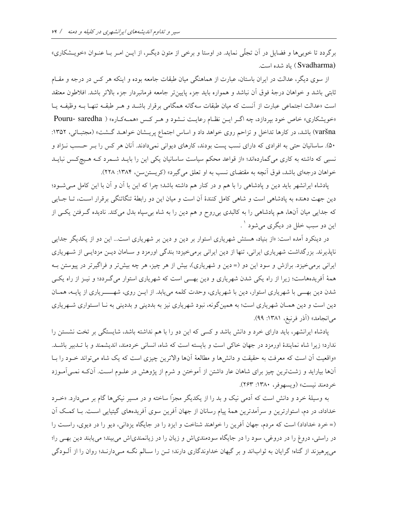برگردد تا خوبی ها و فضایل در آن تجلّی نماید. در اوستا و برخی از متون دیگـر، از ایــن امـر بــا عنــوان «خویــشكاری» (Svadharma) باد شده است.

از سوی دیگر، عدالت در ایران باستان، عبارت از هماهنگی میان طبقات جامعه بوده و اینکه هر کس در درجه و مقـام ثابتي باشد و خواهان درجهٔ فوق آن نباشد و همواره بايد جزء پايينتر جامعه فرمانبردار جزء بالاتر باشد. افلاطون معتقد است «عدالت اجتماعی عبارت از آنست که میان طبقات سهگانه همگامی برقرار باشـد و هـر طبقـه تنهـا بـه وظیفـه یـا «خویشکاری» خاص خود بپردازد، چه اگر ایـن نظـام رعایـت نـشود و هـر کـس «همـهکـاره» ( Pouru- saredha varšna) باشد، در کارها تداخل و تزاحم روی خواهد داد و اساس اجتماع پریسشان خواهـد گـشت» (مجتبـائی، ۱۳۵۲: ۵۰). ساسانیان حتی به افرادی که دارای نسب پست بودند، کارهای دیوانی نمیدادند. آنان هر کس را بـر حـسب نــژاد و نسبی که داشته به کاری میگماردهاند؛ «از قواعد محکم سیاست ساسانیان یکی این را بایــد شــمرد کــه هــیچکـس نبایــد خواهان درجهای باشد، فوق آنچه به مقتضای نسب به او تعلق می گیرد» (کریستن سن، ۱۳۸۴: ۲۲۸).

پادشاه ایرانشهر باید دین و پادشاهی را با هم و در کنار هم داشته باشد؛ چرا که این با آن و آن با این کامل می شود؛ دین جهت دهنده به یادشاهی است و شاهی کامل کنندهٔ آن است و میان این دو رابطهٔ تنگاتنگی برقرار است، تــا جــایی که جدایی میان آنها، هم پادشاهی را به کالبدی بیروح و هم دین را به شاه بیسپاه بدل میکند. نادیده گـرفتن یکـی از اين دو سبب خلل در ديگري مي شود ` .

در دینکرد آمده است: «از بنیاد، هستش شهریاری استوار بر دین و دین بر شهریاری است... این دو از یکدیگر جدایی ناپذیرند. بزرگداشت شهریاری ایرانی، تنها از دین ایرانی برمیخیزد؛ بندگی اورمزد و سـامان دیـن مزدایـی از شــهریاری ایرانی برمیخیزد. برازش و سود این دو (=دین و شهریاری)، بیش از هر چیز، هر چه بیشتر و فراگیرتر در پیوستن بـه همهٔ آفریدههاست؛ زیرا از راه یکی شدن شهریاری و دین بهــی است که شهریاری استوار میگـردد؛ و نیــز از راه یکــی شدن دین بهـبی با شهریاری استوار، دین با شهریاری، وحدت کلمه می یابد. از ایـن روی، شهـــــریاری از پایــه، همـان دین است و دین همـان شهریاری است؛ به همینگونه، نبود شهریاری نیز به بددینی و بددینی به نـا اسـتواری شـهریاری مي انجامد» (آذر فرنبغ، ١٣٨١: ٩٩).

یادشاه ایرانشهر، باید دارای خرد و دانش باشد و کسی که این دو را با هم نداشته باشد، شایستگی بر تخت نشستن را ندارد؛ زیرا شاه نمایندهٔ اورمزد در جهان خاکی است و بایسته است که شاه، انسانی خردمند، اندیشمند و با تـدبیر باشـد. «واقعیت آن است که معرفت به حقیقت و دانشها و مطالعهٔ آنها والاترین چیزی است که یک شاه می تواند خـود را بـا آنها بیاراید و زشتترین چیز برای شاهان عار داشتن از آموختن و شرم از پژوهش در علـوم اسـت. آنکـه نمـی|مـوزد خردمند نيست» (ويسهوفر، ١٣٨٠: ٢۶٣).

به وسیلهٔ خرد و دانش است که آدمی نیک و بد را از یکدیگر مجزاً ساخته و در مسیر نیکیها گام بر مـیدارد. «خـرد خداداد، در دم، استوارترین و سرآمدترین همهٔ پیام رسانان از جهان آفرین سوی آفریدههای گیتیایی است. بـا کمـک آن (= خرد خداداد) است که مردم، جهان آفرین را خواهند شناخت و ایزد را در جایگاه یزدانی، دیو را در دیوی، راست را در راستی، دروغ را در دروغی، سود را در جایگاه سودمندیاش و زیان را در زیانمندیاش میبیند؛ مییابند دین بهی را؛ می پرهیزند از گناه؛ گرایان به ثواباند و بر گیهان خداوندگاری دارند؛ تـن را سـالم نگـه مـیدارنـد؛ روان را از آلــودگی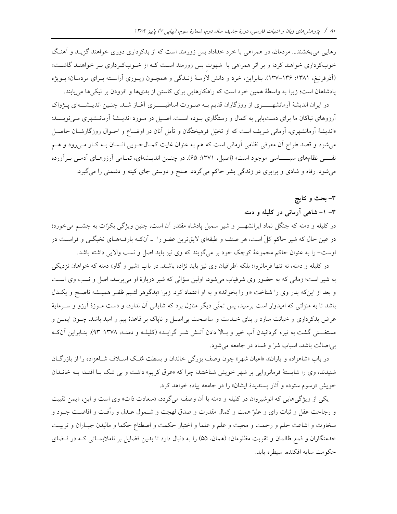رهایی میبخشند… مردمان، در همراهی با خرد خداداد بس زورمند است که از بدکرداری دوری خواهند گزیـد و آهنـگ خوبکرداری خواهند کرد؛ و بر اثر همراهی با شهوت بس زورمند است کـه از خـوبکـرداری بــر خواهنــد گاشــت» (اَذْرِفْرِنْبِغْ، ١٣٨١-١٣٧). بنابراين، خرد و دانش لازمـهٔ زنـدگي و همچـون زيـوري اَراسـته بـراي مردمـان؛ بـويژه پادشاهان است؛ زیرا به واسطهٔ همین خرد است که راهکارهایی برای کاستن از بدیها و افزودن بر نیکیها می یابند.

در ایران اندیشهٔ آرمانشهــــــری از روزگاران قدیم بــه صـورت اساطیــــــری آغــاز شــد. چنــین اندیــشــــهای پــژواک آرزوهای نیاکان ما برای دست یابی به کمال و رستگاری بـوده اسـت. اصـیل در مـورد اندیــشهٔ آرمانــشهری مـیiویــسد: «اندیشهٔ آرمانشهری، آرمانی شریف است که از تخیّل فرهیختگان و تأمل آنان در اوضـاع و احـوال روزگارشـان حاصـل میشود و قصد طراح آن معرفی نظامی آرمانی است که هم به عنوان غایت کمـالجـویی انـسان بـه کـار مـیرود و هــم نفسی نظامهای سیـــــاسی موجود است» (اصیل، ۱۳۷۱: ۶۵). در چنـین اندیــشهای، تمـامی آرزوهـای آدمـی بـرآورده میشود. رفاه و شادی و برابری در زندگی بشر حاکم میگردد. صلح و دوستی جای کینه و دشمنی را میگیرد.

#### ٣– بحث و نتايج

### ۳– ۱– شاهی آرمانی در کلیله و دمنه

در کلیله و دمنه که جنگل نماد ایرانشهـــر و شیر سمبل پادشاه مقتدر آن است، چنین ویژگی بکرات به چشــم میخورد؛ در عین حال که شیر حاکم کلّ است، هر صنف و طبقهای لایقترین عضو را \_ آنکـه بارقـههـای نخبگـی و فراسـت در اوست- را به عنوان حاکم مجموعهٔ کوچک خود بر میگزیند که وی نیز باید اصل و نسب والایی داشته باشد.

در کلیله و دمنه، نه تنها فرمانروا؛ بلکه اطرافیان وی نیز باید نژاده باشند. در باب «شیر و گاو» دمنه که خواهان نزدیکی به شیر است؛ زمانی که به حضور وی شرفیاب می شود، اولین سؤالی که شیر دربارهٔ او می پرسد، اصل و نسب وی است و بعد از این که پدر وی را شناخت «او را بخواند» و به او اعتماد کرد. زیرا «بدگوهر لئـیم ظفـر همیـشه ناصـح و یکـدل باشد تا به منزلتی که امیدوار است برسید، پس تمنّی دیگر منازل برد که شایانی آن ندارد، و دست مـوزهٔ آرزو و سـرمایهٔ غرض بدکرداری و خیانت سازد و بنای خـدمت و مناصحت بی|صـل و ناپاک بر قاعدهٔ بیم و امید باشد، چــون ایمــن و مستغــنی گشت به تیره گردانیدن آب خیر و بـالا دادن آتـش شــر گرایــد» (کلیلــه و دمنــه، ۱۳۷۸: ۹۳). بنــابراین آنکـه بی اصالت باشد، اسباب شرّ و فساد در جامعه می شود.

در باب «شاهزاده و یاران»، «اعیان شهر» چون وصف بزرگی خاندان و بسطت مُلک اسـلاف شـاهزاده را از بازرگـان شنیدند، وی را شایستهٔ فرمانروایی بر شهر خویش شناختند؛ چرا که «عرق کریم» داشت و بی شک بـا اقتـدا بـه خانـدان خويش «رسوم ستوده و آثار پسنديدهٔ ايشان» را در جامعه پياده خواهد كرد.

یکی از ویژگیهایی که انوشیروان در کلیله و دمنه با آن وصف میگردد، «سعادت ذات» وی است و این، «یمن نقیبت و رجاحت عقل و ثبات راي و علو ّهمت و كمال مقدرت و صدق لهجت و شــمول عــدل و رأفــت و افاضــت جــود و سخاوت و اشاعت حلم و رحمت و محبت و علم و علما و اختيار حكمت و اصطناع حكما و ماليدن جبـاران و تربيـت خدمتگاران و قمع ظالمان و تقويت مظلومان» (همان، ۵۵) را به دنبال دارد تا بدين فضايل بر ناملايمـاتي كـه در فـضاي حکومت سایه افکنده، سیطره پابد.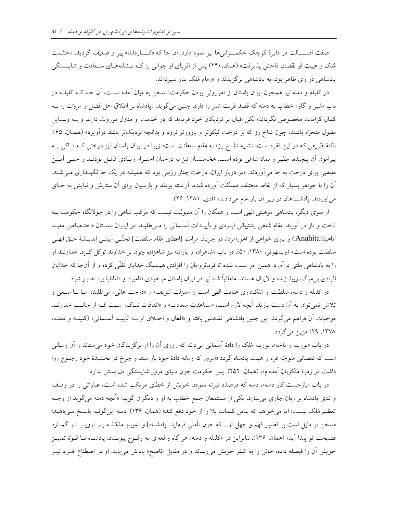صفت اصــــالت در دايرهٔ كوچک حکمـــراني ها نيز نمود دارد. آن جا كه «كــــارداناه» پير و ضعيف گرديد، «حشمت مُلک و هیبت او نقصان فاحش پذیرفت» (همان، ۲۴۰) پس از اقربای او جوانی را کـه نـشانههـای سـعادت و شایـستگی پادشاهی در وی ظاهر بود، به پادشاهی برگزیدند و «زمام مُلک بدو سپرد»ند.

در کلیله و دمنه نیز همچون ایران باستان از «موروثی بودن حکومت» سخن به میان آمده اسـت، اَن جـا کــه کلیلــه در باب «شیر و گاو» خطاب به دمنه که قصد قربت شیر را دارد، چنین میگوید: «پادشاه بر اطلاق اهل فضل و مروت را بـه کمال کرامات مخصوص نگرداند؛ لکن اقبال بر نزدیکان خود فرماید که در خدمت او منازل موروث دارند و بــه وســایل مقبول متحرّم باشند، چون شاخ رز که بر درخت نیکوتر و بارورتر نرود و بدانچه نزدیکتر باشد درآویزد» (همـان، ۶۵). نکتهٔ ظریفی که در این فقره است، تشبیه «شاخ رز» به مقام سلطنت است؛ زیرا در ایران باستان نیز درختی کـه تـاکی بـه پیرامون آن پیچیده، مظهر و نماد شاهی بوده است. هخامنشیان نیز به درختان احتـرام زیـادی قائـل بودنـد و حتـی اَیـین مذهبی برای درخت به جا میآوردند. «در دربار ایران، درخت چنار زرّینی بود که همیشه در یک جا نگهـداری مـیشـد. آن را با جواهر بسیار که از نقاط مختلف مملکت آورده شده، آراسته بودند و پارسیان برای آن ستایش و نیایش به جـای میآوردند. پادشاهان در زیر آن بار عام میدادند» (ادی، ۱۳۸۱: ۲۶).

از سوی دیگر، پادشاهی موهبتی الهی است و همگان را آن مقبولیت نیست که مرکب شاهی را در جولانگاه حکومت بـه تاخت و تاز در آورند. مقام شاهی پشتیبانی ایــزدی و تأییــدات آســمانی را مــیطلبــد. در ایــران باســتان «اختــصاص معبــد آناهیتا(Anahita) و یاری خواهی از اهورامزدا، در جریان مراسم [اعطای مقام سلطنت] تجلّـی آیینـی اندیــشهٔ حــق الهـی سلطنت بوده است» (ویسهوفر، ۱۳۸۰: ۵۰). در باب «شاهزاده و یاران» نیز شاهزاده چون بر خداوند توکل کـرد، خداونــد او را به پادشاهی ملتی درآورد. همین امر سبب شده تا فرمانروایان را افرادی هم سنگ خدایان تلقّی کرده و از آنجا که خدایان افرادي بي مرگ، زيبا، زنده و لايزال هستند، متعاقباً شاه نيز در ايران باستان موجودي «ناميرا» و «فنانايذير» تصور شود.

در كليله و دمنه، سلطنت و مُلكداري عنايت الهي است و «منزلت شريف» و «درجت عالي» مي طلبد؛ امــا بــا ســعي و تلاش نمیتوان به آن دست یازید. آنچه لازم است، «مساعدت سعادت» و «اتفاقات نیک» است کـه از جانـب خداونـد موجبات أن فراهم مي گردد. اين چنين پادشاهي تقـدس يافته و «افعال و اخـلاق او بــه تأييــد آســماني» (كليلــه و دمنــه، ١٣٧٨: ٢٩) مزين مي گردد.

در باب «بوزینه و باخه»، بوزینه مُلک را دادهٔ آسمانی میداند که روزی آن را از برگزیدگان خود میستاند و آن زمـانی است که نقصانی متوجّه فره و هیبت پادشاه گردد «امروز که زمانه دادهٔ خود باز ستد و چرخ در بخشیدهٔ خود رجـوع روا داشت در زمرهٔ منکوبان آمدهام»، (همان، ۲۵۲). پس حکومت چون دنیای مزور شایستگی دل بستن ندارد.

در باب «بازجست کار دمنه»، دمنه که درصدد تبرئه نمودن خویش از خطای مرتکب شده است، عباراتی را در وصف و ثنای پادشاه بر زبان جاری می سازد، یکی از مستمعان جمع خطاب به او و دیگران گوید: «اَنچه دمنه میگوید از وجـه تعظیم مَلک نیست؛ اما میخواهد که بدین کلمات بلا را از خود دفع کند» (همان، ۱۳۶). دمنه این گونـه پاسـخ مـیدهــد: «سخن تو دلیل است بر قصور فهم و جهل تو… که چون تأملی فرماید [یادشـاه] و تمییـز ملکانــه بــر تزویــر تــو گـمــارد فضیحت تو پیدا آید» (همان، ۱۳۶). بنابراین در «کلیله و دمنه» هر گاه واقعهای به وقـوع پیونـدد، پادشـاه بـا قـوّهٔ تمییـز خویش اّن را فیصله داده، خائن را به کیفر خویش می٫ساند و در مقابل «ناصح» پاداش مییابد. او در اصطناع افــراد نیــز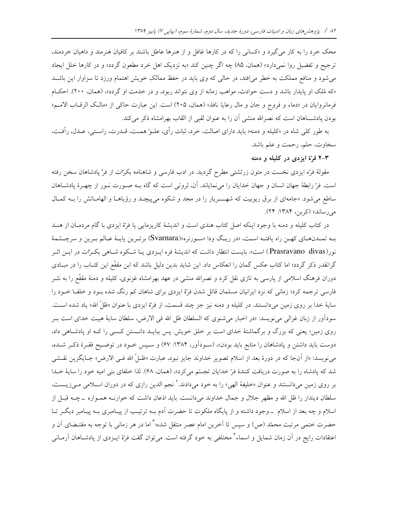محک خرد را به کار می گیرد و «کسانی را که در کارها غافل و از هنرها عاطل باشند بر کافیان هنرمند و داهیان خردمند، ترجیح و تفضیل روا نمیدارد» (همان، ۸۵) چه اگر چنین کند «به نزدیک اهل خرد مطعون گردد» و در کارها خلل ایجاد می شود و منافع مملکت به خطر می افتد، در حالی که وی باید در حفظ ممالک خویش اهتمام ورزد تا سزاوار این باشـد «که مُلک او پایدار باشد و دست حوادث، مواهب زمانه از وی نتواند ربود، و در خدمت او گردد»، (همان، ۲۰۰). احکAم فرمانروايان در «دماء و فروج و جان و مال رعايا نافذ» (همان، ٢٠۵) است. اين عبارت حاكي از «مالك الرقـاب الامـم» بودن پادشـــاهان است كه نصرالله منشى آن را به عنوان لقبى از القاب بهرامشاه ذكر مى كند.

به طور کلی شاه در «کلیله و دمنه» باید دارای اصالت، خرد، ثبات رأی، علـوّ همـت، قــدرت، راسـتی، عــدل، رأفـت، سخاوت، حلم، رحمت و علم باشد.

۳-۲ فرّة ايزدي در کليله و دمنه

مقولهٔ فرّه ایزدی نخست در متون زرتشتی مطرح گردید. در ادب فارسی و شاهنامه بکرات از فرِّ پادشاهان سخن رفته است. فرّ رابطهٔ جهان انسان و جهان خدایان را میٖنمایاند. أن، ثروتی است که گاه بــه صــورت نــور از چهــرهٔ پادشــاهان ساطع می شود. «جامهای از برق ربوبیت که شهـــریار را در مجد و شکوه می پیچـد و رؤیاهـا و الهامــاتش را بــه کمـال می رساند» (کربن، ۱۳۸۴: ۲۴).

در کتاب کلیله و دمنه با وجود اینکه اصل کتاب هندی است و اندیشهٔ کاریزمایی یا فرّهٔ ایزدی با گام مردمـان از هنــد بـه تمـدنهـاي كهـن راه يافتـه اسـت، «در ريـگ ودا «سـورنره»(Svarnara) برتـرين پايـهٔ عـالم بـرين و سرچـشمهٔ نور(Prasravano divas) است». بایست انتظار داشت که اندیشهٔ فره ایـزدی یـا شـکوه شـاهی بکـرّات در ایـن اثـر گرانقدر ذکر گردد؛ اما کتاب عکس گمان را انعکاس داد. این شاید بدین دلیل باشد که ابن مقفّع این کتـاب را در مبــادی دوران فرهنگ اسلامی از پارسی به تازی نقل کرد و نصرالله منشی در عهد بهرامشاه غزنوی، کلیله و دمنهٔ مقفّع را به نشر فارسی ترجمه کرد؛ زمانی که نزد ایرانیان مسلمان قائل شدن فرّهٔ ایزدی برای شاهان کم رنگ شده بـود و خلفـا خـود را ساية خدا بر روى زمين مىدانستند. در كليله و دمنه نيز جز چند قسمت، از فرّة ايزدى با عنوان «ظلّ الله» ياد شده است. سودآور از زبان غزالی می نویسد: «در اخبار می شنوی که السلطان ظل الله فی الارض، سلطان سایهٔ هیبت خدای است بـر روی زمین؛ یعنی که بزرگ و برگماشتهٔ خدای است بر خلق خویش. پس ببایـد دانـستن کـسی را کـه او پادشـاهی داد، دوست باید داشتن و پادشاهان را متابع باید بودن»، (سـوداّور، ۱۳۸۴: ۶۷) و سـپس خـود در توضـیح فقـرهٔ ذکـر شـده، می نویسد: «از آنجا که در دورهٔ بعد از اسلام تصویر خداوند جایز نبود، عبارت «ظـلّ الله فــی الارض» جــایگزین نقــشی شد كه پادشاه را به صورت دريافت كنندهٔ فرّ خدايان تجسّم مىكرد»، (همان، 6۸). لذا خلفاى بنى اميه خود را سايهٔ خـدا بر روی زمین میدانستند و عنوان «خلیفهٔ الهی» را به خود میدادند.<sup>۲</sup> نجم الدین رازی که در دوران اسـلامی مــیزیــست، سلطان دیندار را ظل الله و مظهر جلال و جمال خداوند میدانست. باید اذعان داشت که خوارنــه همــواره ــ چــه قبــل از اسلام و چه بعد از اسلام \_ وجود داشته و از پایگاه ملکوت تا حضرت آدم بـه ترتیـب از پیـامبری بـه پیـامبر دیگـر تـا حضرت ختمی مرتبت محمّد (ص) و سپس تا اَخرین امام عصر منتقل شده؛ ٌ اما در هر زمانی با توجه به مقتـضای اَن و اعتقادات رایج در آن زمان شمایل و اسماء<sup>؟</sup> مختلفی به خود گرفته است. میتوان گفت فرّهٔ ایــزدی از پادشــاهان آرمــانی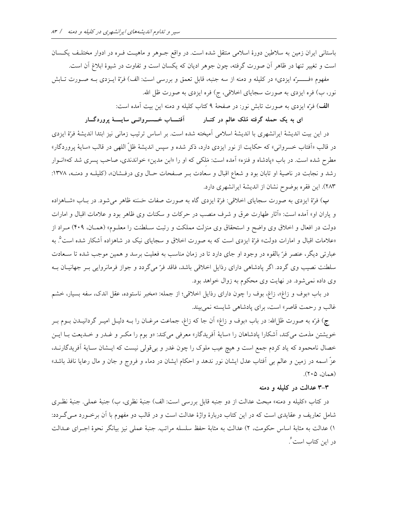باستانی ایران زمین به سلاطین دورهٔ اسلامی منتقل شده است. در واقع جـوهر و ماهیـت فـره در ادوار مختلـف یکـسان است و تغییر تنها در ظاهر آن صورت گرفته، چون جوهر ادیان که یکسان است و تفاوت در شیوهٔ ابلاغ آن است.

مفهوم «فــــــرّه ايزدي» در كليله و دمنه از سه جنبه، قابل تعمق و بررسي است: الف) فرّهٔ ايــزدي بــه صــورت تــابش نور، ب) فره ایزدی به صورت سجایای اخلاقی، ج) فره ایزدی به صورت ظل الله.

الف) فرّه ایزدی به صورت تابش نور: در صفحهٔ ۹ کتاب کلیله و دمنه این بیت آمده است:

ای به یک حمله گرفته مُلک عالم در کنــار آفتـــــاب خــــســروانـــی سایـــــهٔ پروردگـــار

در این بیت اندیشهٔ ایرانشهری با اندیشهٔ اسلامی آمیخته شده است. بر اساس ترتیب زمانی نیز ابتدا اندیشهٔ فرّهٔ ایزدی در قالب «آفتاب خسرواني» كه حكايت از نور ايزدي دارد، ذكر شده و سپس انديشهٔ ظلّ اللهي در قالب «سايهٔ پروردگار» مطرح شده است. در باب «پادشاه و فنزه» آمده است: مَلکی که او را «ابن مدین» خواندندی، صاحب پسری شد که«انوار رشد و نجابت در ناصیهٔ او تابان بود و شعاع اقبال و سعادت بـر صـفحات حـال وی درفـشان»، (کلیلــه و دمنــه، ۱۳۷۸: ۲۸۳). این فقره بوضوح نشان از اندیشهٔ ایرانشهری دارد.

ب) فرّهٔ ایزدی به صورت سجایای اخلاقی: فرّهٔ ایزدی گاه به صورت صفات حَسَنه ظاهر میشود. در بـاب «شـاهزاده و یاران او» آمده است: «آثار طهارت عرق و شرف منصب در حرکات و سکنات وی ظاهر بود و علامات اقبال و امارات دولت در افعال و اخلاق وی واضح و استحقاق وی منزلت مملکت و رتبت سـلطنت را معلــوم» (همــان، ۴۰۹) مــراد از «علامات اقبال و امارات دولت» فرّة ایزدی است که به صورت اخلاق و سجایای نیک در شاهزاده آشکار شده است°. به عبارتی دیگر، عنصر فرّ بالقوه در وجود او جای دارد تا در زمان مناسب به فعلیت برسد و همین موجب شده تا سـعادت سلطنت نصیب وی گردد. اگر پادشاهی دارای رذایل اخلاقی باشد، فاقد فرّ میگردد و جواز فرمانروایی بـر جهانیـان بـه وي داده نمي شود. در نهايت وي محكوم به زوال خواهد بود.

در باب «بوف و زاغ»، زاغ، بوف را چون دارای رذایل اخلاقی؛ از جمله: «مخبر ناستوده، عقل اندک، سفه بسیار، خشم غالب و رحمت قاصر» است، برای پادشاهی شایسته نمی بیند.

ج) فرّه به صورت ظلّالله: در باب «بوف و زاغ» أن جا كه زاغ، جماعت مرغــان را بــه دليــل اميــر گردانيــدن بــوم بــر خویشتن مذمت می کند، آشکارا پادشاهان را «سایهٔ آفریدگار» معرفی می کند: «و بوم را مکـر و غـدر و خـدیعت بـا ایــن خصال نامحمود که یاد کردم جمع است و هیچ عیب ملوک را چون غدر و برتقولی نیست که ایــشان ســایهٔ اَفریدگارنــد، عزّ اسمه در زمین و عالم بی آفتاب عدل ایشان نور ندهد و احکام ایشان در دماء و فروج و جان و مال رعایا نافذ باشد» (همان، ۲۰۵).

#### ۳-۳ عدالت در کلیله و دمنه

در كتاب «كليله و دمنه» مبحث عدالت از دو جنبه قابل بررسي است: الف) جنبهٔ نظري، ب) جنبهٔ عملي. جنبهٔ نظـري شامل تعاریف و عقایدی است که در این کتاب دربارهٔ واژهٔ عدالت است و در قالب دو مفهوم با آن برخـورد مـی گـردد: ١) عدالت به مثابهٔ اساس حکومت، ٢) عدالت به مثابهٔ حفظ سلسله مراتب. جنبهٔ عملی نیز بیانگر نحوهٔ اجـرای عــدالت در این کتاب است ؒ.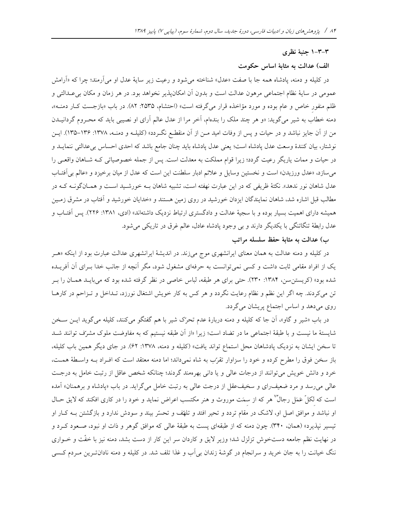#### ۳–۲–۱ جنبهٔ نظری

#### الف) عدالت به مثابهٔ اساس حکومت

در کلیله و دمنه، پادشاه همه جا با صفت «عدل» شناخته میشود و رعیت زیر سایهٔ عدل او میآرمند؛ چرا که «آرامش عمومی در سایهٔ نظام اجتماعی مرهون عدالت است و بدون آن امکانپذیر نخواهد بود. در هر زمان و مکان بی عـدالتی و ظلم منفور خاص و عام بوده و مورد مؤاخذه قرار میگرفته است» (احتشام، ۲۵۳۵: ۸۲). در باب «بازجست کـار دمنــه»، دمنه خطاب به شیر میگوید: «و هر چند ملک را بندهام، آخر مرا از عدل عالم آرای او نصیبی باید که محـروم گردانیــدن من از آن جایز نباشد و در حیات و پس از وفات امید مـن از آن منقطـع نگــردد» (کلیلــه و دمنــه، ۱۳۷۸: ۱۳۶–۱۳۵). ایــن نوشتار، بيان كنندهٔ وسعت عدل يادشاه است؛ يعني عدل يادشاه بايد چنان جامع باشد كه احدى احساس بيءدالتي ننمايـد و در حیات و ممات یاریگر رعیت گردد؛ زیرا قوام مملکت به معدلت است. پس از جمله خصوصیاتی کـه شـاهان واقعـی را می سازد، «عدل ورزیدن» است و نخستین وسایل و علائم ادبار سلطنت این است که عدل از میان برخیزد و «عالم بی اَفتـاب عدل شاهان نور ندهد». نکتهٔ ظریفی که در این عبارت نهفته است، تشبیه شاهان بـه خورشـید اسـت و همـانگونــه کــه در مطالب قبل اشاره شد، شاهان نمایندگان ایزدان خورشید در روی زمین هستند و «خدایان خورشید و آفتاب در مشرق زمـین همیشه دارای اهمیت بسیار بوده و با سجیهٔ عدالت و دادگستری ارتباط نزدیک داشتهاند» (ادی، ۱۳۸۱: ۲۲۶). پس آفتـاب و عدل رابطهٔ تنگاتنگی با یکدیگر دارند و بی وجود پادشاه عادل، عالم غرق در تاریکی میشود.

### ب) عدالت به مثابة حفظ سلسله مراتب

در کلیله و دمنه عدالت به همان معنای ایرانشهری موج میزند. در اندیشهٔ ایرانشهری عدالت عبارت بود از اینکه «هـر یک از افراد مقامی ثابت داشت و کسی نمیتوانست به حرفهای مشغول شود، مگر آنچه از جانب خدا بـرای آن آفریــده شده بود» (کریستن سن، ۱۳۸۴: ۲۳۰). حتی برای هر طبقه، لباس خاصی در نظر گرفته شده بود که میبایـد همـان را بـر تن می کردند. چه اگر این نظم و نظام رعایت نگردد و هر کس به کار خویش اشتغال نورزد، تـداخل و تـزاحم در کارهـا روی میدهد و اساس اجتماع پریشان میگردد.

در باب «شیر و گاو»، آن جا که کلیله و دمنه دربارهٔ عدم تحرّک شیر با هم گفتگو میکنند، کلیله میگوید ایـن سـخن شایستهٔ ما نیست و با طبقهٔ اجتماعی ما در تضاد است؛ زیرا «از آن طبقه نیستیم که به مفاوضت ملوک مشرف توانند شـد تا سخن ایشان به نزدیک پادشاهان محل استماع تواند یافت» (کلیله و دمنه، ۱۳۷۸: ۶۲). در جای دیگر همین باب کلیله، باز سخن فوق را مطرح کرده و خود را سزاوار تقرّب به شاه نمیداند؛ اما دمنه معتقد است که افـراد بــه واسـطهٔ همــت، خرد و دانش خویش میتوانند از درجات عالی و یا دانی بهرهمند گردند؛ چنانکه شخص عاقل از رتبت خامل به درجت عال<sub>ی</sub> می رسد و مرد ضعیف رای و سخیف عقل از درجت عالمی به رتبت خامل می گراید. در باب «یادشاه و برهمنان» آمده است که لکلّ عَمَل رجالٌ ٌ هر که از سمَت موروث و هنر مکتسب اعراض نماید و خود را در کاری افکند که لایق حــال او نباشد و موافق اصل او، لاشک در مقام تردد و تحیر افتد و تلهّف و تحسّر بیند و سودش ندارد و بازگشتن بـه کـار او تیسیر نپذیرد» (همان، ۳۴۰). چون دمنه که از طبقهای پست به طبقهٔ عالی که موافق گوهر و ذات او نبود، صـعود کـرد و در نهایت نظم جامعه دستخوش تزلزل شد؛ وزیر لایق و کاردان سر این کار از دست بشد، دمنه نیز با خفّت و خــواری ننگ خیانت را به جان خرید و سرانجام در گوشهٔ زندان بی آب و غذا تلف شد. در کلیله و دمنه نادان تـرین مـردم کـسی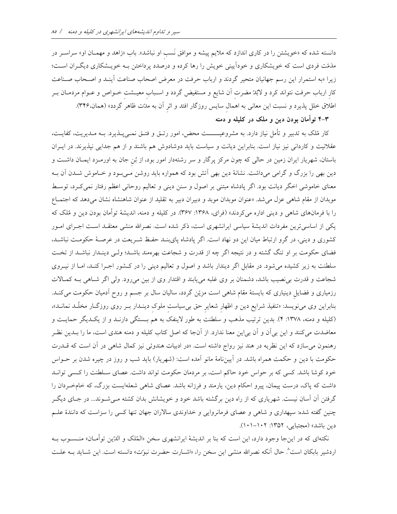دانسته شده که «خویشتن را در کاری اندازد که ملایم پیشه و موافق نَسب او نباشد». باب «زاهد و مهمـان او» سراســر در مذمّت فردی است که خویشکاری و خوداًیینی خویش را رها کرده و درصدد پرداختن بـه خویـشکاری دیگـران اسـت؛ زیرا «به استمرار این رسم جهانیان متحیر گردند و ارباب حرفت در معرض اصحاب صناعت آینـد و اصـحاب صـناعت کار ارباب حرفت نتواند کرد و لابُدّ مضرت آن شایع و مستفیض گردد و اسـباب معیــشت خــواص و عــوام مردمــان بــر اطلاق خلل پذیرد و نسبت این معانی به اهمال سایس روزگار افتد و اثر آن به مدّت ظاهر گردد» (همان،۳۴۶).

## ۴–۴ توأمان بودن دین و ملک در کلیله و دمنه

کار مُلک به تدبیر و تأمل نیاز دارد. به مشروعیــــــت محض، امور رتــق و فتــق نمــی،پــذیرد. بــه مــدیریت، کفایــت، عقلانیت و کاردانی نیز نیاز است. بنابراین دیانت و سیاست باید دوشادوش هم باشند و از هم جدایی نپذیرند. در ایـران باستان، شهریار ایران زمین در حالی که چون مرکز پرگار و سر رشتهدار امور بود، از بُن جان به اورمـزد ایمـان داشــت و دین بھی را بزرگ و گرامی میداشت. نشانهٔ دین بھی آتش بود که همواره باید روشن مـیبـود و خـاموش شـدن اَن بــه معنای خاموشی اخگر دیانت بود. اگر پادشاه مبتنی بر اصول و سنن دینی و تعالیم روحانی اعظم رفتار نمیکرد، توسط موبدان از مقام شاهی عزل می شد. «عنوان موبدان موبد و دبیران دبیر به تقلید از عنوان شاهنشاه نشان میدهد که اجتمـاع را با فرمانهای شاهی و دینی اداره میکردند» (فرای، ۱۳۶۸: ۳۶۷). در کلیله و دمنه، اندیشهٔ توأمان بودن دین و مُلک که یکی از اساسیتروین مفردات اندیشهٔ سیاسی ایرانشهری است، ذکر شده است. نصرالله منشی معتقـد اسـت اجـرای امـور کشوری و دینی، در گرو ارتباط میان این دو نهاد است. اگر یادشاه پایبنـد حفـظ شـریعت در عرصـهٔ حکومـت نباشـد، فضای حکومت بر او تنگ گشته و در نتیجه اگر چه از قدرت و شجاعت بهرهمند باشــد؛ ولــی دینــدار نباشــد از تخــت سلطنت به زیر کشیده میشود. در مقابل اگر دیندار باشد و اصول و تعالیم دینی را در کشور اجـرا کنـد، امـا از نیـروی شجاعت و قدرت برنصیب باشد، دشمنان بر وی غلبه می یابند و اقتدار وی از بین می رود. ولی اگر شـاهی بـه کمـالات رزمیاری و فضایل دینیاری که بایستهٔ مقام شاهی است مزیّن گردد، سالیان سال بر جسم و روح اَدمیان حکومت می کنـد. بنابراین وی مینویسد: «تنفیذ شرایع دین و اظهار شعایر حق بی سیاست ملوک دینـدار بـر روی روزگــار مخلّـد نمانـد»، (کلیله و دمنه، ۱۳۷۸: ۴). بدین ترتیب مذهب و سلطنت به طور لاینفک به هم بـستگی دارنـد و از یکـدیگر حمایـت و معاضدت میکنند و این بی آن و آن بی این معنا ندارد. از آنجا که اصل کتاب کلیله و دمنه هندی است، ما را بـدین نظـر رهنمون می سازد که این نظریه در هند نیز رواج داشته است. «در ادبیات هندوئی نیز کمال شاهی در آن است که قــدرت حکومت با دین و حکمت همراه باشد. در آییننامهٔ مانو آمده است: (شهریار) باید شب و روز در چیره شدن بر حــواس خود کوشا باشد. کسی که بر حواس خود حاکم است، بر مردمان حکومت تواند داشت. عصای سـلطنت را کـسی توانـد داشت که پاک، درست پیمان، پیرو احکام دین، یارمند و فرزانه باشد. عصای شاهی شعلهایست بزرگ، که خامخردان را گرفتن آن آسان نیست. شهریاری که از راه دین برگشته باشد خود و خویشانش بدان کشته مـیشـوند... در جـای دیگـر چنین گفته شده: سپهداری و شاهی و عصای فرمانروایی و خداوندی سالاران جهان تنها کسی را سزاست که دانندهٔ علـم دين باشد» (مجتبايي، ١٣٥٢: ١٠١-١٠١).

نکتهای که در اینجا وجود دارد، این است که بنا بر اندیشهٔ ایرانشهری سخن «المُلک و الدّین توأمـان» منــســوب بــه اردشیر بابکان است<sup>^</sup>. حال آنکه نصرالله منشی این سخن را، «اشــارت حضرت نبوـّت» دانسته است. این شــاید بــه علــت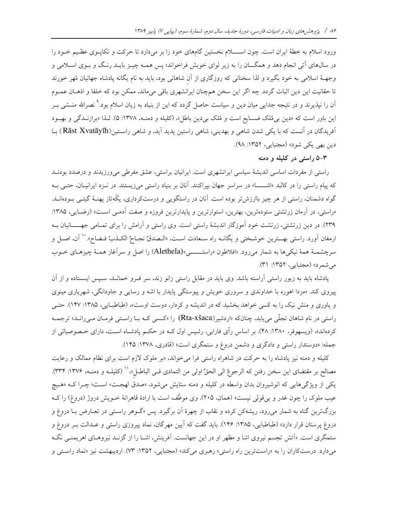ورود اسلام به خطهٔ ایران است. چون اســــلام نخستین گامهای خود را بر میدارد تا حرکت و تکاپــوی عظـیم خــود را در سالهای اَتی انجام دهد و همگـــان را به زیر لوای خویش فراخواند؛ پس همــه چیــز بایــد رنـگ و بــوی اســلامی و وجهـهٔ اسلامی به خود بگیرد و لذا سخنانی که روزگاری از آن شاهانی بود، باید به نام یگانه یادشاه جهانیان مُهر خورند تا حقانیت این دین اثبات گردد. چه اگر این سخن همچنان ایرانشهری باقی میماند، ممکن بود که خلفا و اذهـان عمـوم آن را نپذیرند و در نتیجه جدای<sub>م</sub> میان دین و سیاست حاصل گردد که این از بنیاد به زیان اسلام بود.<sup>۹</sup> نصرالله منــشی بــر این باور است که «دین بی مُلک ضـایع است و مُلک بی دین باطل»، (کلیله و دمنـه، ۱۳۷۸: ۵). لـذا «برازنـدگی و بهبـود آفریدگان در آنست که با یکی شدن شاهی و بهدینی، شاهی راستین پدید آید، و شاهی راستین(Rāst Xvatāyīh) بــا دين بھي يکي شود» (مجتبايي، ١٣٥٢: ٩٨).

۳–۵ راستی در کلیله و دمنه

راستی از مفردات اساسی اندیشهٔ سیاسی ایرانشهری است. ایرانیان براستی، عشق مفرطی می ورزیدند و درصدد بودنـد که پیام راستی را در کالبد «اشـــا» در سراسر جهان بپراکنند. آنان بر بنیاد راستی میزیستند. در نـزد ایرانیـان، حتـی بـه گواه دشمنان، راستی از هر چیز باارزش تر بوده است. آنان در راستگویی و درستکرداری، یکّهتاز پهنــهٔ گیتــی بــودهانــد. «راستی، در آرمان زرتشتی ستودهترین، بهترین، استوارترین و پایدارترین فروزه و صفت آدمـی اسـت» (رضـایی، ۱۳۸۵: ۲۳۹). در دین زرتشتی، زرتشت خود آموزگار اندیشهٔ راستی است. وی راستی و آرامش را برای تمـامی جهـــــانیان بــه ارمغان أورد. راستي بهـــترين خوشبختي و يگانــه راه ســعادت اســت، «الــصدقُ نجــاحٌ الكــذبُ فــضاح». `` أن، اصــل و سرچشمـهٔ همهٔ نیکی۵ا به شمار میرود. «افلاطون «راستـــــــی»(Alethela) را اصل و سرآغاز همـهٔ چیزهـای خــوب می شمر د» (مجتبایی، ۱۳۵۲: ۳۱).

پادشاه باید به زیور راستی آراسته باشد. وی باید در مقابل راستی زانو زند، سر فـرو خمانـد، سـیس ایـستاده و از آن پیروی کند. «مزدا اهوره با خداوندی و سروری خویش و پیوستگی پایدار با اشه و رسایی و جاودانگی، شهریاری مینوی و یاوری و منش نیک را به کسی خواهد بخشید که در اندیشه و کردار، دوست اوست»، (طباطبایی، ۱۳۸۵: ۱۴۷). حتـی راستی در نام شاهان تجلّی می یابد، چنانکه «اردشیر(Rta-xšaca) را «کسمی کـه بـا راسـتی فرمـان مـیرانـد» ترجمـه کردهاند»، (ویسهوفر، ۱۳۸۰: ۴۸). بر اساس رأی فارابی، رئـیس اول کــه در حکــم پادشــاه اســت، دارای خــصوصیاتی از جمله: «دوستدار راستی و دادگری و دشمن دروغ و ستمگری است» (قادری، ۱۳۷۸: ۱۴۵).

کلیله و دمنه نیز پادشاه را به حرکت در شاهراه راستی فرا میخواند، «بر ملوک لازم است برای نظام ممالک و رعایت مصالح بر مقتضاى اين سخن رفتن كه الرجوعُ الى الحقِّ اولى من التمادى فــى الباطــل»،'' (كليلــه و دمنــه، ١٣٧۶: ٣٣۴). یکی از ویژگیهایی که انوشیروان بدان واسطه در کلیله و دمنه ستایش میشود، «صدق لهجت» است؛ چـرا کــه «هـیچ عیب ملوک را چون غدر و بر قولی نیست» (همان، ۲۰۵). وی موظّف است با ارادهٔ قاهرانهٔ خــویش دروژ (دروغ) را کــه بزرگترین گناه به شمار میرود، ریشهکن کرده و نقاب از چهرهٔ آن برگیرد. پس «گـوهر راسـتی در تعــارض بــا دروغ و دروغ پرستان قرار دارد» (طباطبایی، ۱۳۸۵: ۱۴۶). باید گفت که آیین مهرگان، نماد پیروزی راستی و عـدالت بـر دروغ و ستمگری است. «اَتش تجسم نیروی اشا و مظهر او در این جهانست. اَفرینش، اشـا را از گزنـد نیروهـای اهریمنـی نگـه میدارد. درستکاران را به «راستترین راه راستی» رهبری میکند» (مجتبایی، ۱۳۵۲: ۷۳). اردیبهشت نیز «نماد راستی و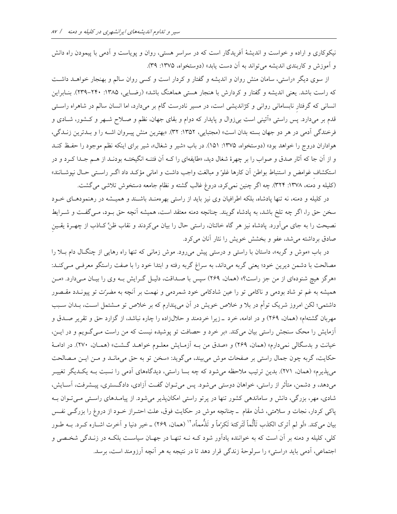نیکوکاری و اراده و خواست و اندیشهٔ آفریدگار است که در سراسر هستی، روان و پویاست و آدمی با پیمودن راه دانش و آموزش و کاربندی اندیشه می تواند به آن دست یابد» (دوستخواه، ۱۳۷۵: ۳۹).

از سوی دیگر «راستی، سامان منش روان و اندیشه و گفتار و کردار است و کسی روان سالم و بهنجار خواهـد داشـت که راست باشد. یعنی اندیشه و گفتار و کردارش با هنجار هستی هماهنگ باشد» (رضـایی، ۱۳۸۵: ۲۴۰-۲۳۹). بنـابراین انسانی که گرفتار نابسامانی روانی و کژاندیشی است، در مسیر نادرست گام بر میدارد، اما انسان سالم در شاهراه راستی قدم بر میدارد. پس راستی «اَئینی است بی¿وال و پایدار که دوام و بقای جهان، نظم و صـلاح شـهر و کـشور، شــادی و فرخندگی آدمی در هر دو جهان بسته بدان است» (مجتبایی، ۱۳۵۲: ۳۲). «بهترین منش پیـروان اشـه را و بـدترین زنـدگی، هواداران دروج را خواهد بود» (دوستخواه، ۱۳۷۵: ۱۵۱). در باب «شیر و شغال»، شیر برای اینکه نظم موجود را حفظ کنـد و از آن جا که آثار صدق و صواب را بر چهرهٔ شغال دید، «طایفهای را کــه اَن فتنــه انگیختــه بودنــد از هــم جــدا کــرد و در استكشاف غوامض و استنباط بواطن آن كارها غلوً و مبالغت واجب داشت و امانى مؤكـد داد اگـر راسـتى حـال نپوشــانند» (کلیله و دمنه، ۱۳۷۸: ۳۲۴). چه اگر چنین نمی کرد، دروغ غالب گشته و نظام جامعه دستخوش تلاشی می گشت.

در کلیله و دمنه، نه تنها یادشاه، بلکه اطرافیان وی نیز باید از راستی بهرهمنـد باشـند و همیـشه در رهنمودهـای خـود سخن حق را، اگر چه تلخ باشد، به پادشاه گویند. چنانچه دمنه معتقد است، همیشه آنچه حق بـود، مـیگفـت و شــرایط نصیحت را به جای میآورد. پادشاه نیز هر گاه خائنان، راستی حال را بیان میکردند و نقاب ظنِّ کـاذب از چهـرهٔ یقـین صادق برداشته میشد، عفو و بخشش خویش را نثار آنان میکرد.

در باب «موش و گربه»، داستان با راستی و درستی پیش می رود. موش زمانی که تنها راه رهایی از چنگال دام بلا را مصالحت با دشمن ديرين خود؛ يعني گربه ميداند، به سراغ گربه رفته و ابتدا خود را با صفت راستگو معرفـي مـي٤نـد: «هرگز هیچ شنودهای از من جز راست؟» (همان، ۲۶۹) سپس با صـداقت، دلیـل گـرایش بـه وی را بیـان مـیدارد. «مـن همیشه به غم تو شاد بودمی و ناکامی تو را عین شادکامی خود شمردمی و نهمت بر آنچه به مضرّت تو پیونــدد مقــصور داشتمی؛ لکن امروز شریک توأم در بلا و خلاص خویش در آن میپندارم که بر خلاص تو مــشتمل اســت، بــدان ســبب مهربان گشتهام» (همان، ۲۶۹) و در ادامه، خرد \_زیرا خردمند و حلالزاده را چاره نباشد، از گزارد حق و تقریر صـدق و آزمایش را محک سنجش راستی بیان میکند. «بر خرد و حصافت تو پوشیده نیست که من راست مےگویم و در ایس، خیانت و بدسگالی نمیدارم» (همان، ۲۶۹) و «صدق من بـه آزمـایش معلـوم خواهـد گـشت» (همـان، ۲۷۰). در ادامـهٔ حکایت، گربه چون جمال راستی بر صفحات موش میبیند، میگوید: «سخن تو به حق میمانـد و مـن ایـن مـصالحت می پذیرم» (همان، ۲۷۱). بدین ترتیب ملاحظه میشود که چه بسا راستی، دیدگاههای آدمی را نسبت بـه یکـدیگر تغییـر میدهد، و دشمن، متأثر از راستی، خواهان دوستی میشود. پس میتوان گفت آزادی، دادگستری، پیـشرفت، آسـایش، شادی، مهر، بزرگی، دانش و ساماندهی کشور تنها در پرتو راستی امکانپذیر میشود. از پیامـدهای راسـتی مـیتـوان بـه پاکی کردار، نجات و سلامتی، شأن مقام \_چنانچه موش در حکایت فوق، علت احتــراز خــود از دروغ را بزرگــی نفــس بيان مي كند. «لَو لم أترِك الكذب تَأَثُّماً لَتَرِكتهَ تَكرِّماً و تَذُمماً»،'' (همان، ٢۶۹) ــ خير دنيا و آخرت اشــاره كــرد. بــه طــور کلی، کلیله و دمنه بر آن است که به خواننده یادآور شود کـه نــه تنهـا در جهـان سیاســت بلکــه در زنــدگی شخــصی و اجتماعی، آدمی باید «راستی» را سرلوحهٔ زندگی قرار دهد تا در نتیجه به هر آنچه آرزومند است، برسد.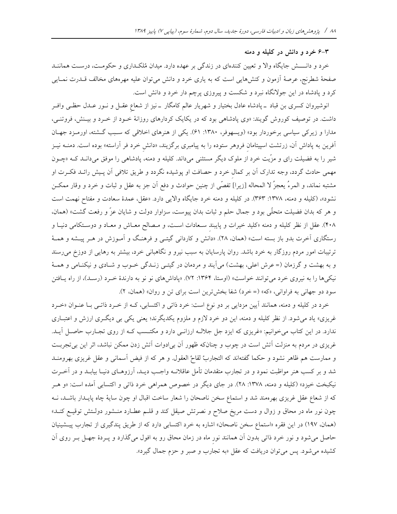#### ۴-۶ خرد و دانش در کلیله و دمنه

خرد و دانــــش جایگاه والا و تعیین کنندهای در زندگی بر عهده دارد. میدان مُلکـداری و حکومـت، درسـت هماننــد صفحهٔ شطرنج، عرصهٔ آزمون و کنشهایی است که به یاری خرد و دانش میٍتوان علیه مهرههای مخالف قــدرت نمــایی کرد و پادشاه در این جولانگاه نبرد و شکست و پیروزی پرچم دار خرد و دانش است.

انوشیروان کسری بن قباد ـ پادشاه عادل بختیار و شهریار عالم کامگار ـ نیز از شعاع عقــل و نــور عــدل حظــی وافــر داشت. در توصیف کوروش گویند: «وی پادشاهی بود که در یکایک کردارهای روزانهٔ خـود از خـرد و بیـنش، فروتنــی، مدارا و زیرکی سیاسی برخوردار بود» (ویسهوفر، ۱۳۸۰: ۶۱). یکی از هنرهای اخلاقی که سبب گشته، اورمـزد جهـان آفرین به پاداش آن، زرتشت اسپیتامان فروهر ستوده را به پیامبری برگزیند، «دانش خرد فر آراسته» بوده است. دمنــه نیــز شیر را به فضیلت رای و مزّیت خرد از ملوک دیگر مستثنی میداند. کلیله و دمنه، پادشاهی را موفق میدانـد کـه «چـون مهمی حادث گردد، وجه تدارک آن بر کمال خرد و حصافت او پوشیده نگردد و طریق تلافی آن پـیش رائــد فکــرت او مشتبه نماند، و المرءُ يعجزُ لا المحاله [زيرا] تفصّي از چنين حوادث و دفع اَن جز به عقل و ثبات و خرد و وقار ممكـن نشود»، (كليله و دمنه، ١٣٧٨: ٣۶٣). در كليله و دمنه خرد جايگاه والايي دارد. «عقل، عمدهٔ سعادت و مفتاح نهمت است و هر که بدان فضیلت متحلّی بود و جمال حلم و ثبات بدان پیوست، سزاوار دولت و شایان عزّ و رفعت گشت» (همان، ۴۰۸). عقل از نظر کلیله و دمنه «کلید خیرات و پایبند سـعادات اسـت، و مـصالح معـاش و معـاد و دوسـتکامی دنیـا و رستگاری آخرت بدو باز بسته است» (همان، ۲۸). «دانش و کاردان<sub>ی</sub> گیتــی و فرهنـگ و آمــوزش در هــر پیــشه و همــهٔ ترتیبات امور مردم روزگار به خرد باشد. روان پارسایان به سبب نیرو و نگاهبانی خرد، بیشتر به رهایی از دوزخ می رسند و به بهشت و گرزمان (= عرش اعلی، بهشت) میآیند و مردمان در گیتـی زنـدگی خـوب و شـادی و نیکنـامی و همـهٔ نیکهها را به نیروی خرد میتوانند خواست» (اوستا، ۱۳۶۴: ۷۲). «پاداشهای نو نو به دارندهٔ خـرد (رسـد)، از راه یـافتن سود دو جهانی به فراوانی، «که» (= خرد) شفا بخشترین است برای تن و روان» (همان، ۲).

خرد در کلیله و دمنه، همانند آیین مزدایی بر دو نوع است: خرد ذاتی و اکتسابی، کـه از خـرد ذاتـی بـا عنـوان «خـرد غریزی» یاد میشود. از نظر کلیله و دمنه، این دو خرد لازم و ملزوم یکدیگرند؛ یعنی یکی بی دیگــری ارزش و اعتبــاری ندارد. در این کتاب میخوانیم: «غریزی که ایزد جل جلالـه ارزانـی دارد و مکتـسب کـه از روی تجـارب حاصـل آیـد. غریزی در مردم به منزلت آتش است در چوب و چنانکه ظهور آن بی|دوات آتش زدن ممکن نباشد، اثر این بیتجربت و ممارست هم ظاهر نشود و حكما گفتهاند كه التجاربُ لقاحُ العقول. و هر كه از فيض آسماني و عقل غريزي بهرومنـد شد و بر کسب هنر مواظبت نمود و در تجارب متقدمان تأمل عاقلانــه واجــب ديــد، آرزوهــای دنيــا بيابــد و در آخــرت نیکبخت خیزد» (کلیله و دمنه، ۱۳۷۸: ۲۸). در جای دیگر در خصوص همراهی خرد ذاتی و اکتسابی آمده است: «و هــر که از شعاع عقل غریزی بهرهمند شد و استماع سخن ناصحان را شعار ساخت اقبال او چون سایهٔ چاه پایـدار باشـد، نــه چون نور ماه در محاق و زوال و دست مریخ صلاح و نصرتش صیقل کند و قلـم عطـارد منـشور دولـتش توقیـع کنـد» (همان، ١٩٧) در اين فقره «استماع سخن ناصحان» اشاره به خرد اكتسابي دارد كه از طريق پندگيري از تجارب پيشينيان حاصل میشود و نور خرد ذاتی بدون آن همانند نور ماه در زمان محاق رو به افول میگذارد و پـردهٔ جهـل بـر روی آن کشیده می شود. پس می توان دریافت که عقل «به تجارب و صبر و حزم جمال گیرد».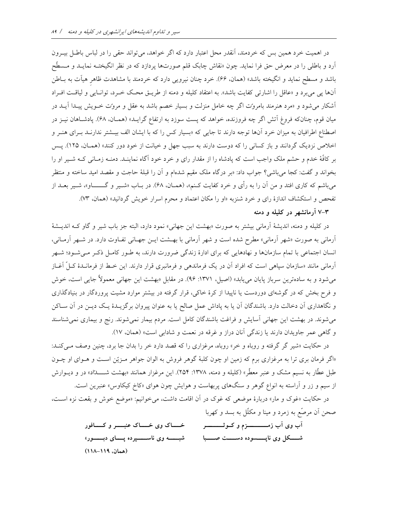در اهمیت خرد همین بس که خردمند، آنقدر محل اعتبار دارد که اگر خواهد، میتواند حقی را در لباس باطـل بیــرون آرد و باطلبي را در معرض حق فرا نمايد. چون «نقاش چابک قلم صورتها پردازد که در نظر انگيختــه نمايــد و مــسطَّح باشد و مسطح نماید و انگیخته باشد» (همان، ۶۶). خرد چنان نیرویی دارد که خردمند با مشاهدت ظاهر هیآت به بـاطن آنها پی میبرد و «عاقل را اشارتی کفایت باشد». به اعتقاد کلیله و دمنه از طریـق محـک خـرد، توانـایی و لیاقـت افـراد اًشکار می شود و «مرد هنرمند بامروٽ اگر چه خامل منزلت و بسیار خصم باشد به عقل و مروٽ خـویش پیـدا آیــد در میان قوم، چنانکه فروغ آتش اگر چه فروزنده، خواهد که پست سوزد به ارتفاع گرایـد» (همـان، ۶۸). پادشـاهان نیــز در اصطناع اطرافیان به میزان خرد آنها توجه دارند تا جایی که «بسیار کس را که با ایشان الف بیـشتر ندارنـد بـرای هنـر و اخلاص نزدیک گردانند و باز کسانی را که دوست دارند به سبب جهل و خیانت از خود دور کنند» (همـان، ۱۲۵). پـس بر كافَّهٔ خدم و حشم ملك واجب است كه يادشاه را از مقدار راى و خرد خود آگاه نماينـد. دمنـه زمـانى كـه شـير او را بخواند و گفت: کجا میباشی؟ جواب داد: «بر درگاه ملک مقیم شدهام و آن را قبلهٔ حاجت و مقصد امید ساخته و منتظر میباشم که کاری افتد و من آن را به رأی و خرد کفایت کـنم»، (همـان، ۶۸). در بــاب «شــیر و گـــــــــاو»، شــیر بعــد از تفحص و استکشاف اندازهٔ رای و خرد شنزبه «او را مکان اعتماد و محرم اسرار خویش گردانید» (همان، ۷۳).

۳-۷ آرمانشهر در کلیله و دمنه

در كليله و دمنه، انديشهٔ آرماني بيشتر به صورت «بهشت اين جهاني» نمود دارد، البته جز باب شير و گاو كـه انديـشهٔ آرمانی به صورت «شهر آرمانی» مطرح شده است و شهر آرمانی با بهـشت ایـن جهـانی تفـاوت دارد. در شـهر آرمـانی، انسان اجتماعی با تمام سازمانها و نهادهایی که برای ادارهٔ زندگی ضرورت دارند، به طـور کامـل ذکـر مـیشـود؛ شـهر آرمانی مانند «سازمان سیاهی است که افراد آن در یک فرماندهی و فرمانبری قرار دارند. این خـط از فرمانـدهٔ کـلّ آغـاز میشود و به سادهترین سرباز پایان میLبابد» (اصیل، ۱۳۷۱: ۹۶). در مقابل «بهشت این جهانی معمولاً جایی است، خوش و فرح بخش که در گوشهای دوردست یا ناپیدا از کرهٔ خاکی، قرار گرفته در بیشتر موارد مشیت پروردگار در بنیادگذاری و نگاهداری آن دخالت دارد. باشندگان آن یا به پاداش عمل صالح یا به عنوان پیروان برگزیـدهٔ یـک دیـن در آن سـاکن می شوند. در بهشت این جهانی آسایش و فراغت باشندگان کامل است. مردم بیمار نمی شوند. رنج و بیماری نمی شناسند و گاهی عمر جاویدان دارند یا زندگی آنان دراز و غرقه در نعمت و شادابی است» (همان، ١٧).

در حکایت «شیر گر گرفته و روباه و خر» روباه، مرغزاری را که قصد دارد خر را بدان جا برد، چنین وصف مـّیکنـد: «اگر فرمان بری ترا به مرغزاری برم که زمین او چون کلبهٔ گوهر فروش به الوان جواهر مـزیّن اسـت و هـوای او چـون طبل عطّار به نسیم مشک و عنبر معطّر» (کلیله و دمنه، ۱۳۷۸: ۲۵۴). این مرغزار همانند «بهشت شــــــدّاد» در و دیــوارش از سیم و زر و آراسته به انواع گوهر و سنگهای پربهاست و هوایش چون هوای «کاخ کیکاوس» عنبرین است.

در حکایت «غوک و مار» دربارهٔ موضعی که غوک در آن اقامت داشت، میخوانیم: «موضع خوش و بقعت نزه اسـت، صحن آن مرصّع به زمرد و مینا و مکلّل به بسد و کهربا

> آب وی آب زمــــــــــزم و کــوثــــــــــر خساک وی خساک عنبسر و کسافور شبـــــــه وى ناســــــــپرده پــــــاى دبــــــــور» شـــــکل وی ناپـــــــسوده دســــــت صـــــــبا (همان، ١١٩-١١٨)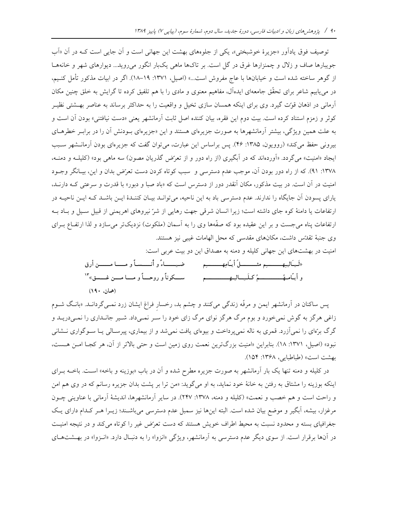توصيف فوق يادآور «جزيرهٔ خوشبختي»، يكي از جلوههاي بهشت اين جهاني است و آن جايي است كـه در آن «آب جویبارها صاف و زلال و چمنزارها غرق در گل است. بر تاکها ماهی یکبار انگور می روید... دیوارهای شهر و خانههـا از گوهر ساخته شده است و خیابانها با عاج مفروش است...» (اصیل، ۱۳۷۱: ۱۹–۱۸). اگر در ابیات مذکور تأمل کنـیم، در می یابیم شاعر برای تحقّق جامعهای ایدهآل، مفاهیم معنوی و مادی را با هم تلفیق کرده تا گرایش به خلق چنین مکان آرمانی در اذهان قوّت گیرد. وی برای اینکه همسان سازی تخیل و واقعیت را به حداکثر برساند به عناصر بهـشتی نظیـر کوثر و زمزم استناد کرده است. بیت دوم این فقره، بیان کننده اصل ثابت آرمانشهر یعنی «دست نیافتنی» بودن آن است و به علت همین ویژگی، بیشتر آرمانشهرها به صورت جزیرهای هستند و این «جزیرهای بـودنش آن را در برابـر خطرهـای بیرونی حفظ میکند» (روویون، ۱۳۸۵: ۴۶). پس براساس این عبارت، میتوان گفت که جزیرهای بودن آرمانـشهر سـبب ایجاد «امنیت» میگردد. «آوردهاند که در آبگیری (از راه دور و از تعرّض گذریان مصون) سه ماهی بود» (کلیلـه و دمنـه، ۱۳۷۸: ۹۱). که از راه دور بودن آن، موجب عدم دسترسی و سبب کوتاه کردن دست تعرّض بدان و این، بیـانگر وجـود امنیت در آن است. در بیت مذکور، مکان آنقدر دور از دسترس است که «باد صبا و دبور» با قدرت و سرعتی کـه دارنــد، یارای پسودن آن جایگاه را ندارند. عدم دسترسی باد به این ناحیه، میتوانـد بیـان کننـدهٔ ایـن باشـد کـه ایـن ناحیـه در ارتفاعات یا دامنهٔ کوه جای داشته است؛ زیرا انسان شرقی جهت رهایی از شرّ نیروهای اهریمنی از قبیل سبیل و بـاد بـه ارتفاعات پناه می جست و بر این عقیده بود که صفّهها وی را به آسمان (ملکوت) نزدیکتر میسازد و لذا ارتفـاع بــرای وي جنبهٔ تقدَّس داشت، مكانهاي مقدسي كه محل الهامات غيبي نيز هستند. امنیت در بهشتهای این جهانی کلیله و دمنه به مصداق این دو بیت عربی است:

پس ساکنان در آرمانشهر ایمن و مرفّه زندگی میکنند و چشم بد، رخسار فراغ ایشان زرد نمــیگردانــد. «بانـگ شــوم زاغی هرگز به گوش نمیخورد و بوم مرگ هرگز نوای مرگ زای خود را سـر نمـیداد. شـیر جانـداری را نمـیدریـد و گرگ برّمای را نمیآزرد. قمری به ناله نمیپرداخت و بیوهای یافت نمیشد و از بیماری، پیرسـالی یـا سـوگواری نــشانی نبود» (اصيل، ١٣٧١: ١٨). بنابراين «امنيت بزرگترين نعمت روى زمين است و حتى بالاتر از آن، هر كجـا امـن هـست، بهشت است» (طباطبايي، ١٣۶٨: ١۵۴).

در کلیله و دمنه تنها یک بار اَرمانشهر به صورت جزیره مطرح شده و اَن در باب «بوزینه و باخه» اسـت. باخــه بــرای اینکه بوزینه را مشتاق به رفتن به خانهٔ خود نماید، به او میگوید: «من ترا بر پشت بدان جزیره رسانم که در وی هم امن و راحت است و هم خصب و نعمت» (كليله و دمنه، ١٣٧٨: ١٣٧٧). در ساير أرمانشهرها، انديشهٔ أرماني با عناويني چــون مرغزار، بیشه، اَبگیر و موضع بیان شده است. البته اینها نیز سمبل عدم دسترسی میباشـند؛ زیــرا هــر کـدام دارای یـک جغرافیای بسته و محدود نسبت به محیط اطراف خویش هستند که دست تعرّض غیر را کوتاه میکند و در نتیجه امنیت در آنها برقرار است. از سوی دیگر عدم دسترسی به آرمانشهر، ویژگی «انزوا» را به دنبال دارد. «انـزوا» در بهـشتهـای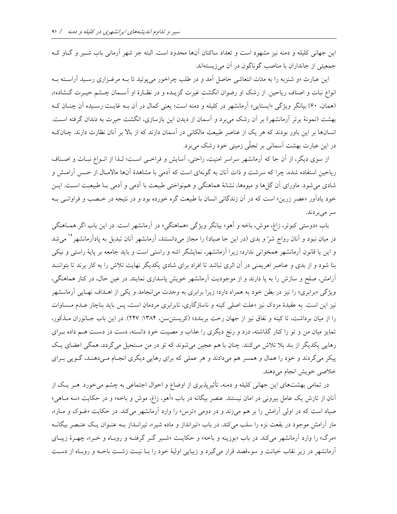این جهانی کلیله و دمنه نیز مشهود است و تعداد ساکنان آنها محدود است. البته جز شهر آرمانی باب شـیر و گــاو کــه جمعیتی از جانداران با مناصب گوناگون در آن میزیستهاند.

این عبارت «و شنزبه را به مدّت انتعاشی حاصل آمد و در طلب چراخور می پوئید تا بــه مرغــزاری رســید آراســته بــه انواع نبات و اصناف ریاحین. از رشک او رضوان انگشت غیرت گزیـده و در نظـارهٔ او آسـمان چـشم حیـرت گـشاده»، (همان، ۶۰) بیانگر ویژگی «ایستایی» آرمانشهر در کلیله و دمنه است؛ یعنی کمال در آن بـه غایـت رسـیده آن چنـان کـه بهشت (نمونهٔ برتر آرمانشهر) بر آن رشک میبرد و آسمان از دیدن این بازسازی، انگشت حیرت به دندان گرفته است. انسانها بر این باور بودند که هر یک از عناصر طبیعت مالکانی در آسمان دارند که از بالا بر آنان نظارت دارند. چنانک در این عبارت بهشت آسمانی بر تجلّی زمینی خود رشک میبرد.

از سوی دیگر، از آن جا که آرمانشهر سراسر امنیت، راحتی، آسایش و فراخبی است؛ لـذا از انـواع نبـات و اصـناف ریاحین استفاده شده، چرا که سرشت و ذات آنان به گونهای است که آدمی با مشاهدهٔ آنها مالامـال از حـس آرامـش و شادی می شود. ماورای آن گلها و میوهها، نشانهٔ هماهنگی و همنواختی طبیعت با آدمی و آدمی بـا طبیعـت اسـت. ایــن خود یادآور «عصر زرین» است که در آن زندگانی انسان با طبیعت گره خورده بود و در نتیجه در خـصب و فراوانـبی بـه سر امی پر دند.

باب «دوستي کبوتر، زاغ، موش، باخه و اَهو» بيانگر ويژگي «هماهنگي» در اَرمانشهر است. در اين باب اگر همـاهنگي در میان نبود و آنان رواج شرّ و بدی (در این جا صیاد) را مجاز میدانستند، آرمانشهر آنان تبدیل به پادآرمانشهر ٔ میشد و این با قانون آرمانشهر همخوانی ندارد؛ زیرا آرمانشهر، نمایشگر اشه و راستی است و باید جامعه بر پایهٔ راستی و نیکی بنا شود و از بدی و عناصر اهریمنی در آن اثری نباشد تا افراد برای شادی یکدیگر نهایت تلاش را به کار برند تا بتواننــد آرامش، صلح و سازش را به یا دارند و از موجودیت آرمانشهر خویش پاسداری نمایند. در عین حال، در کنار هماهنگی، ویژگی «برابری» را نیز در بطن خود به همراه دارد؛ زیرا برابری به وحدت می|نجامد و یکی از اهـداف نهـایی آرمانـشهر نیز این است. به عقیدهٔ مزدک نیز «علت اصلی کینه و ناسازگاری، نابرابری مردمان است، پس باید بناچار عـدم مـساوات را از میان برداشت، تا کینه و نفاق نیز از جهان رخت بربندد» (کریستن سن، ۱۳۸۴: ۲۴۷). در این باب جـانوران مـذکور، تمایز میان من و تو را کنار گذاشته، درد و رنج دیگری را عذاب و مصیبت خود دانسته، دست در دسـت هــم داده بــرای رهایی یکدیگر از بند بلا تلاش میکنند. چنان با هم عجین میشوند که تو در من مستحیل میگردد، همگی اعضای یک پیکر میگردند و خود را همال و همسر هم میدادند و هر عملی که برای رهایی دیگری انجـام مـیدهنـد، گـویی بـرای خلاصي خويش انجام مي دهند.

در تمامی بهشتهای این جهانی کلیله و دمنه، تأثیرپذیری از اوضاع و احوال اجتماعی به چشم میخورد. هـر یـک از آنان از تازش یک عامل بیرونی در امان نیستند. عنصر بیگانه در باب «اَهو، زاغ، موش و باخه» و در حکایت «سه مـاهی» صیاد است که در اولی آرامش را بر هم میزند و در دومی «ترس» را وارد آرمانشهر میکند. در حکایت «غـوک و مـار»، مار آرامش موجود در بقعت نزه را سلب می کند. در باب «تیرانداز و ماده شیر»، تیرانــداز بــه عنــوان یــک عنــصر بیگانــه «مرگ» را وارد آرمانشهر می کند. در باب «بوزینه و باخه» و حکایـت «شـیر گـر گرفتـه و روبـاه و خـر»، چهـرهٔ زیبـای آرمانشهر در زیر نقاب خیانت و سوءقصد قرار میگیرد و زیبایی اولیهٔ خود را بـا نیـت زشـت باخـه و روبـاه از دسـت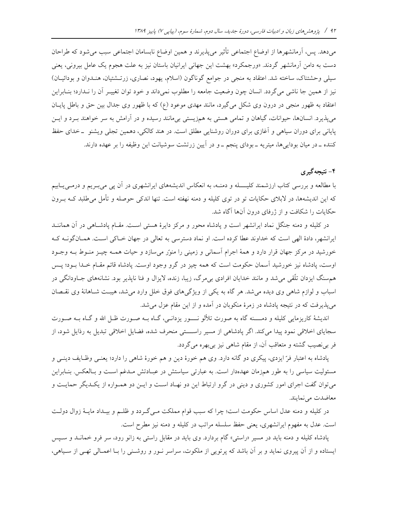میدهد. پس، آرمانشهرها از اوضاع اجتماعی تأثیر میپذیرند و همین اوضاع نابسامان اجتماعی سبب می شود که طراحان دست به دامن آرمانشهر گردند. «ورجمکرد» بهشت این جهانی ایرانیان باستان نیز به علت هجوم یک عامل بیرونی، یعنی سیلی وحشتناک، ساخته شد. اعتقاد به منجی در جوامع گوناگون (اسلام، یهود، نصاری، زرتـشتیان، هنـدوان و بودائیــان) نیز از همین جا ناشی میگردد. انسان چون وضعیت جامعه را مطلوب نمیداند و خود توان تغییـر آن را نـدارد؛ بنـابراین اعتقاد به ظهور منجی در درون وی شکل میگیرد، مانند مهدی موعود (ع) که با ظهور وی جدال بین حق و باطل پایـان می پذیرد. انسانها، حیوانات، گیاهان و تمامی هستی به همزیستی بی مانند رسیده و در آرامش به سر خواهند بـرد و ایــن پایانی برای دوران سیاهی و آغازی برای دوران روشنایی مطلق است. در هند کالکی، دهمین تجلّی ویشنو \_خدای حفظ کننده ــ در میان بوداییها، میتریه ــ بودای پنجم ــ و در اَیین زرتشت سوشیانت این وظیفه را بر عهده دارند.

## ۴- نتیجهگیری

با مطالعه و بررسی کتاب ارزشمند کلیـــــله و دمنــه، به انعکاس اندیشههای ایرانشهری در اَن یی می بــریم و درمــی یــابیم که این اندیشهها، در لابلای حکایات تو در توی کلیله و دمنه نهفته است. تنها اندکی حوصله و تأمل میطلبد کــه بــرون حکایات را شکافت و از ژرفای درون آنها آگاه شد.

در کلیله و دمنه جنگل نماد ایرانشهر است و یادشاه محور و مرکز دایرهٔ هستی است. مقـام یادشـاهی در آن هماننــد ایرانشهر، دادهٔ الهی است که خداوند عطا کرده است. او نماد دسترسی به تعالی در جهان خـاکی اسـت. همـانگونــه کــه خورشید در مرکز جهان قرار دارد و همهٔ اجرام آسمانی و زمینی را منور میسازد و حیات همـه چیــز منــوط بــه وجــود اوست، یادشاه نیز خورشید آسمان حکومت است که همه چیز در گرو وجود اوست. پادشاه قائم مقـام خـدا بــود؛ پــس هم سنگ ایزدان تلّقی می شد و مانند خدایان افرادی بی مرگ، زیبا، زنده، لایزال و فنا ناپذیر بود. نشانههای جــاودانگی در اسباب و لوازم شاهی وی دیده می شد. هر گاه به یکی از ویژگیهای فوق خلل وارد می شد، هیبت شـاهانهٔ وی نقـصان می پذیرفت که در نتیجه پادشاه در زمرهٔ منکوبان در آمده و از این مقام عزل میشد.

اندیشهٔ کاریزمایی کلیله و دمسـنه گاه به صورت تلألو نــــور یزدانـی، گــاه بــه صــورت ظـل الله و گــاه بــه صــورت سجایای اخلاقی نمود پیدا میکند. اگر پادشاهی از مسیر راسستی منحرف شده، فضایل اخلاقی تبدیل به رذایل شود، از فر بی نصیب گشته و متعاقب آن، از مقام شاهی نیز بیبهره می گردد.

پادشاه به اعتبار فرّ ایزدی، پیکری دو گانه دارد. وی هم خورهٔ دین و هم خورهٔ شاهی را دارد؛ یعنــی وظــایف دینــی و مسئولیت سیاسی را به طور همزمان عهدهدار است. به عبارتی سیاستش در عبـادتش مـدغم اسـت و بـالعکس. بنـابراین می توان گفت اجرای امور کشوری و دینی در گرو ارتباط این دو نهـاد اسـت و ایــن دو همــواره از یکــدیگر حمایــت و معاضدت مي نمايند.

در كليله و دمنه عدل اساس حكومت است؛ چرا كه سبب قوام مملكت مـىگـردد و ظلـم و بيـداد مايــهٔ زوال دولـت است. عدل به مفهوم ایرانشهری، یعنی حفظ سلسله مراتب در کلیله و دمنه نیز مطرح است.

پادشاه کلیله و دمنه باید در مسیر «راستی» گام بردارد. وی باید در مقابل راستی به زانو رود، سر فرو خمانــد و ســپس ایستاده و از آن پیروی نماید و بر آن باشد که پرتویی از ملکوت، سراسر نــور و روشــنی را بــا اعمــالی تهــی از ســیاهی،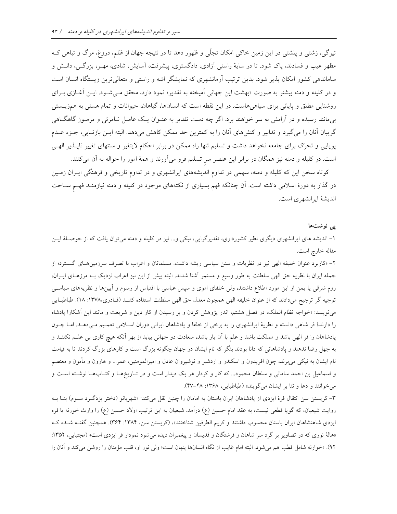تیرگی، زشتی و پلشتی در این زمین خاکی امکان تجلّی و ظهور دهد تا در نتیجه جهان از ظلم، دروغ، مرگ و تباهی ک مظهر عیب و فسادند، پاک شود. تا در سایهٔ راستی آزادی، دادگستری، پیشرفت، آسایش، شادی، مهـر، بزرگـی، دانـش و ساماندهی کشور امکان پذیر شود. بدین ترتیب آرمانشهری که نمایشگر اشه و راستی و متعالی ترین زیستگاه انسان است و در کلیله و دمنه بیشتر به صورت «بهشت این جهانی آمیخته به تقدیر» نمود دارد، محقق مـیشـود. ایــن آغــازی بــرای روشنایی مطلق و پایانی برای سیاهیهاست. در این نقطه است که انسانها، گیاهان، حیوانات و تمام هستی به همزیـستی بیمانند رسیده و در آرامش به سر خواهند برد. اگر چه دست تقدیر به عنـوان یـک عامـل نـامرئی و مرمـوز گاهگـاهی گریبان آنان را میگیرد و تدابیر و کنشهای آنان را به کمترین حد ممکن کاهش میدهد. البته ایـن بازتـابی، جـزء عـدم پویایی و تحرّک برای جامعه نخواهد داشت و تسلیم تنها راه ممکن در برابر احکام لایتغیر و سنتهای تغییر ناپــذیر الهــی است. در کلیله و دمنه نیز همگان در برابر این عنصر سر تسلیم فرو میآورند و همهٔ امور را حواله به آن میکنند.

کوتاه سخن این که کلیله و دمنه، سهمی در تداوم اندیشههای ایرانشهری و در تداوم تاریخی و فرهنگی ایـران زمـین در گذار به دورهٔ اسلامی داشته است. آن چنانکه فهم بسیاری از نکتههای موجود در کلیله و دمنه نیازمنـد فهـم ســاحت اندیشهٔ ایرانشهری است.

#### پے نوشتھا

۱– اندیشه های ایرانشهری دیگری نظیر کشورداری، تقدیرگرایی، نیکی و… نیز در کلیله و دمنه میتوان یافت که از حوصـلهٔ ایـن مقاله خارج است.

۲- «کاربرد عنوان خلیفه الهی نیز در نظریات و سنن سیاسی ریشه داشت. مسلمانان و اعراب با تصرف سرزمین های گسترد؛ از جمله ایران با نظریه حق الهی سلطنت به طور وسیع و مستمر آشنا شدند. البته پیش از این نیز اعراب نزدیک بـه مرزهـای ایــران، روم شرقی یا یمن از این مورد اطلاع داشتند، ولی خلفای اموی و سپس عباسی با اقتباس از رسوم و آیینها و نظریههای سیاسـی توجیه گر ترجیح میدادند که از عنوان خلیفه الهی همچون معدل حق الهی سلطنت استفاده کننـد (قـادری،۱۳۷۸: ۱۸). طباطبایی می نویسد: «خواجه نظام الملک، در فصل هشتم، اندر پژوهش کردن و بر رسیدن از کار دین و شریعت و مانند این آشکارا پادشاه را دارندهٔ فر شاهی دانسته و نظریهٔ ایرانشهری را به برخی از خلفا و پادشاهان ایرانی دوران اسلامی تعمیم میدهـد. امـا چـون پادشاهان را فر الهی باشد و مملکت باشد و علم با آن یار باشد، سعادت دو جهانی بیابد از بهر آنکه هیچ کاری بی علـم نکننــد و به جهل رضا ندهند و پادشاهانی که دانا بودند بنگر که نام ایشان در جهان چگونه بزرگ است و کارهای بزرگ کردند تا به قیامت نام ایشان به نیکی می برند، چون افریدون و اسکندر و اردشیر و نوشیروان عادل و امیرالمومنین، عمر… و هارون و مأمون و معتصم و اسماعیل بن احمد سامانی و سلطان محمود… که کار و کردار هر یک دیدار است و در تـاریخهـا و کتـابهـا نوشـته اسـت و مي خوانند و دعا و ثنا بر ايشان مي گويند» (طباطبايي، ١٣۶٨: ۴۸-۴۷).

٣- کریستن سن انتقال فرهٔ ایزدی از پادشاهان ایران باستان به امامان را چنین نقل میکند: «شهربانو (دختر یزدگـرد سـوم) بنـا بـه روایت شیعیان، که گویا قطعی نیست، به عقد امام حسین (ع) درآمد. شیعیان به این ترتیب اولاد حسین (ع) را وارث خورنه یا فره ایزدی شاهنشاهان ایران باستان محسوب داشتند و کریم الطرفین شناختند»، (کریستن سن، ۱۳۸۴: ۳۶۴). همچنین گفتـه شـده کـه «هالهٔ نوری که در تصاویر بر گرد سر شاهان و فرشتگان و قدیسان و پیغمبران دیده میشود نمودار فر ایزدی است» (مجتبایی، ۱۳۵۲: ۹۲). «خوارنه شامل قطب هم می شود. البته امام غایب از نگاه انسانها پنهان است؛ ولی نور او، قلب مؤمنان را روشن می کند و آنان را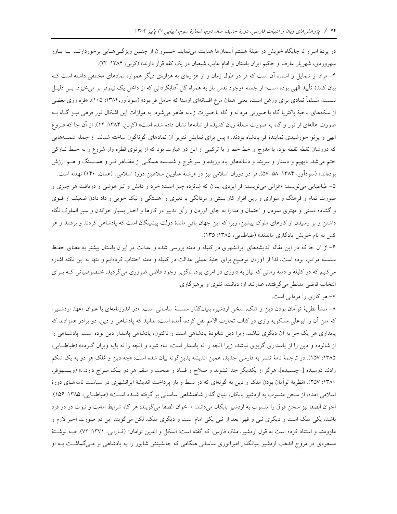در پردهٔ اسرار تا جایگاه خویش در طبقهٔ هشتم آسمانها هدایت مینماید، خسروان از چنـین ویژگـیهـایی برخوردارنـد. بـه بـاور سهروردی، شهریار عارف و حکیم ایران باستان و امام غایب شیعیان در یک کفه قرار دارند» (کربن، ۱۳۸۴: ۲۳).

۴- مراد از شمایل و اسماء آن است که فر در طول زمان و از هزارهای به هزارهی دیگر همواره نمادهای مختلفی داشته است ک بیان کنندهٔ تأیید الهی بوده است؛ از جمله «وجود نقش باز به همراه گل اَفتابگردانی که از داخل یک نیلوفر بر میخیزد، بـی دلیـل نیست، مسلماً نمادی برای ورغن است، یعنی همان مرغ افسانهای اوستا که حامل فر بود» (سودآور،۱۳۸۴: ۱۰۵). «فره روی بعضی از سکههای ناحیهٔ باکتریا گاه با صورتی مردانه و گاه با صورت زنانه ظاهر میشود. به موازات این اشکال نور فرهی نیـز گـاه بـه صورت هالهای از نور و گاه به صورت شعلهٔ زبان کشیده از شانهها نشان داده شده است» (کربن، ۱۳۸۴: ۱۲). از آن جا که فـروغ الهی و پرتو خورشیدی نمایندهٔ فر پادشاه بودند. « پس برای نمایش تنویر آن نمادهای گوناگون ساخته شدند. از جمله شمسههایی که دورشان نقطه نقطه بود، یا مدرج و خط خط و یا ترکیبی از این دو عبارت بود که از پرتوی قطره وار شروع و به خـط نــازکی ختم میشد. دیهیم و دستار و سربند و دنبالههای باد وزیده و سر قوچ و شمــــه همگــی از مظــاهر فــر و همـــسنگ و هــم ارزش بودهاند» (سودآور، ۱۳۸۴: ۵۸–۵۷). فر در دوران اسلامی نیز در «رشتهٔ عناوین سلاطین دورهٔ اسلامی» (همان، ۱۴۰) نهفته است. ۵– طباطبایی می نویسد: «غزالی می نویسد: فر ایزدی، بدان که شانزده چیز است: خرد و دانش و تیز هوشی و دریافت هر چیزی و صورت تمام و فرهنگ و سواری و زین افزار کار بستن و مردانگی با دلیری و اَهستگی و نیک خویی و داد دادن ضعیف از قــوی و گشاده دستی و مهتری نمودن و احتمال و مدارا به جای آوردن و رأی تدبیر در کارها و اخبار بسیار خواندن و سیر الملوک نگاه داشتن و بر رسیدن از کارهای ملوک پیشین، زیرا که این جهان باقی ماندهٔ دولت پیشینگان است که پادشاهی کردند و برفتند و هر کس به نام خویش یادگاری ماندند» (طباطبایی، ۱۳۸۵: ۱۳۵).

۶– از آن جا که در این مقاله اندیشههای ایرانشهری در کلیله و دمنه بررسی شده و عدالت در ایران باستان بیشتر به معنای حفظ سلسله مراتب بوده است، لذا از آوردن توضيح براى جنبهٔ عملى عدالت در كليله و دمنه اجتناب كردهايم و تنها به اين نكته اشاره میکنیم که در کلیله و دمنه زمانی که نیاز به داوری در امری بود، ناگزیر وجود قاضی ضروری میگردید. خصوصیاتی کـه بـرای انتخاب قاضی مدنظر میگرفتند، عبارتند از: دیانت، تقوی و پرهیزگاری.

٧- هر كاري را مرداني است.

٨– منشأ نظريهٔ توأمان بودن دين و مُلک، سخن اردشير، بنيانگذار سلسلهٔ ساسانی است. «در اندرزنامهای با عنوان «عهد اردشـير» که متن آن را ابوعلی مسکویه رازی در کتاب تجارب الامم نقل کرده، آمده است: بدانید که پادشاهی و دین، دو برادر همزادند که پایداری هر یک جز به آن دیگری نباشد، زیرا دین شالودهٔ پادشاهی است و تاکنون، پادشاهی پاسدار دین بوده است. پادشاهی را از شالوده و دین را از پاسداری گریزی نباشد، زیرا آنچه را نه پاسدار است، تباه شود و آنچه را نه پایه ویران گـردد» (طباطبـایی، ۱۳۸۵: ۱۵۷). در ترجمهٔ نامهٔ تنسر به فارسی جدید، همین اندیشه بدینگونه بیان شده است: «چه دین و مُلک هر دو به یک شکم زادند دَوسیده [=چسبیده]، هرگز از یکدیگر جدا نشوند و صلاح و فساد و صحت و سقم هر دو یک مـزاج دارد...» (ویـسهوفر، ۱۳۸۰: ۲۵۷). «نظریهٔ توأمان بودن ملک و دین به گونهای که در بسط و باز پرداخت اندیشهٔ ایرانشهری در سیاست نامههـای دورهٔ اسلامی آمده، از سخن منسوب به اردشیر بابکان، بنیان گذار شاهنشاهی ساسانی بر گرفته شـده اسـت» (طباطبـایی، ۱۳۸۵: ۱۵۶). اخوان الصفا نيز سخن فوق را منسوب به اردشير بابكان مى دانند: « اخوان الصفا مى گويند: هر گاه شرايط امامت و نبوت در دو فرد باشد، یکی ملک است و دیگری نبی و قهرا بعد از نبی یکی امام است و دیگری ملک. لکن میگویند این دو صورت اخیر لازم و ملزومند و استناد کرده است به قول اردشیر، ملک فارس، که گفته است: المکل و الدین توامان» (فـارابی، ١٣٧١: ٧٢). «بـه نوشـتهٔ مسعودی در مروج الذهب اردشیر بنیانگذار امیراتوری ساسانی هنگامی که جانشینش شاپور را به یادشاهی بر مـی گماشــت بــه او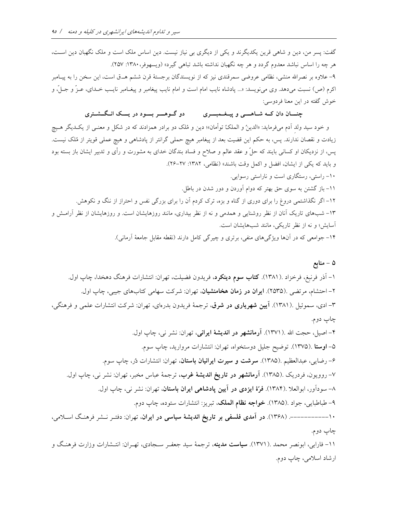گفت: پسر من، دین و شاهی قرین یکدیگرند و یکی از دیگری بی نیاز نیست. دین اساس ملک است و ملک نگهبان دین اسـت، هر چه را اساس نباشد معدوم گردد و هر چه نگهبان نداشته باشد تباهی گیرد» (ویسهوفر، ۱۳۸۰: ۲۵۷). ۹– علاوه بر نصرالله منشی، نظامی عروضی سمرقندی نیز که از نویسندگان برجستهٔ قرن ششم هــق است، این سخن را به پیـامبر اکرم (ص) نسبت میدهد. وی مینویسد: «... پادشاه نایب امام است و امام نایب پیغامبر و پیغــامبر نایــب خــدای، عــزً و جــلّ، و خوش گفته در این معنا فردوسی:

> دو گوهسر بسود در پسک انگشتری چنسان دان کــه شــاهــــی و پیــغــمبــــری

و خود سید ولد اَدم میفرماید: «الدینُ و الملکُ توأمان»؛ دین و مُلک دو برادر همزادند که در شکل و معنـبی از یکـدیگر هـیچ زیادت و نقصان ندارند. پس، به حکم این قضیت بعد از پیغامبر هیچ حملی گرانتر از پادشاهی و هیچ عملی قویتر از مُلک نیست. پس، از نزدیکان او کسانی بایند که حلّ و عقد عالم و صلاح و فساد بندگان خدای به مشورت و رأی و تدبیر ایشان باز بسته بود و بايد كه يكي از ايشان، افضل و اكمل وقت باشند» (نظامي، ١٣٨٢: ٢٧–٢۶).

۱۰– راستی، رستگاری است و ناراستی رسوایی. ۱۱– باز گشتن به سوی حق بهتر که دوام آوردن و دور شدن در باطل. ۱۲– اگر نگذاشتمی دروغ را برای دوری از گناه و بزه، ترک کردم آن را برای بزرگی نفس و احتراز از ننگ و نکوهش. ۱۳– شبهای تاریک آنان از نظر روشنایی و همدمی و نه از نظر بیداری، مانند روزهایشان است. و روزهایشان از نظر آرامش و آسایش؛ و نه از نظر تاریکی، مانند شبهایشان است.

۱۴– جوامعی که در آنها ویژگیهای منفی، برتری و چیرگی کامل دارند (نقطه مقابل جامعهٔ آرمانی).

۱– آذر فرنبغ، فرخزاد .(۱۳۸۱). **کتاب سوم دینکرد**، فریدون فضیلت، تهران: انتشارات فرهنگ دهخدا، چاپ اول. ۲– احتشام، مرتضی .(۲۵۳۵). **ایران در زمان هخامنشیان**، تهران: شرکت سهامی کتابهای جیبی، چاپ اول. ۳– ادی، سموئیل .(۱۳۸۱). **آیین شهریاری در شرق**، ترجمهٔ فریدون بدرهای، تهران: شرکت انتشارات علمی و فرهنگی، چاپ دوم. ۴- اصيل، حجت الله .(١٣٧١). آ**رمانشهر در انديشهٔ ايراني**، تهران: نشر ني، چاپ اول. ۵- اوستا .(۱۳۷۵). توضيح جليل دوستخواه، تهران: انتشارات مرواريد، چاپ سوم. ۶- رضايي، عبدالعظيم .(١٣٨۵). **سرشت و سيرت ايرانيان باستان**، تهران: انتشارات دُر، چاپ سوم. ۷– روویون، فردریک .(۱۳۸۵). آ**رمانشهر در تاریخ اندیشهٔ غرب**، ترجمهٔ عباس مخبر، تهران: نشر ن<sub>ی</sub>، چاپ اول. ۸– سوداَور، ابوالعلا .(۱۳۸۴). **فرّة ایزدی در آیین پادشاهی ایران باستان**، تهران: نشر نی، چاپ اول. ۹- طباطبايي، جواد .(١٣٨٥). خواجه نظام الملك، تبريز: انتشارات ستوده، چاپ دوم. ۱۰------------- (۱۳۶۸). در آمدی فلسفی بر تاریخ اندیشهٔ سیاسی در ایران، تهران: دفتـر نــشر فرهنـگ اسـلامی، چاپ دوم. ۱۱- فارابی، ابونصر محمد .(۱۳۷۱). **سیاست مدینه**، ترجمهٔ سید جعفـر سـجادی، تهـران: انتـشارات وزارت فرهنـگ و

ارشاد اسلامي، چاپ دوم.

۵ – منابع